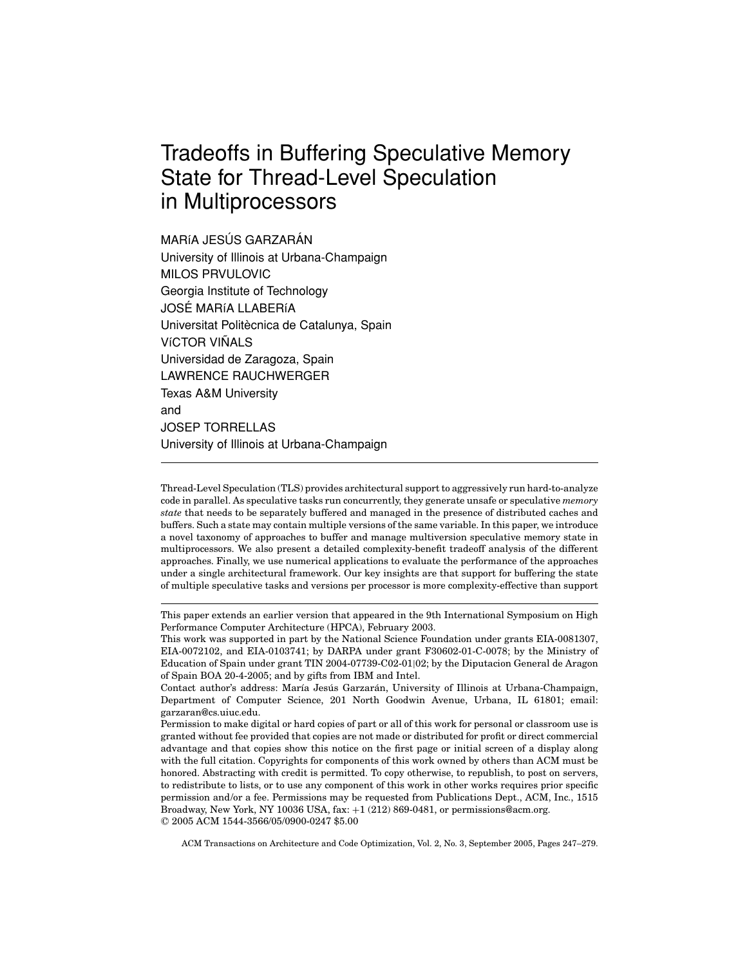# Tradeoffs in Buffering Speculative Memory State for Thread-Level Speculation in Multiprocessors

MARÍA JESÚS GARZARÁN

University of Illinois at Urbana-Champaign MILOS PRVULOVIC Georgia Institute of Technology JOSÉ MARÍA LLABERÍA Universitat Politècnica de Catalunya, Spain **VÍCTOR VIÑALS** Universidad de Zaragoza, Spain LAWRENCE RAUCHWERGER Texas A&M University and JOSEP TORRELLAS University of Illinois at Urbana-Champaign

Thread-Level Speculation (TLS) provides architectural support to aggressively run hard-to-analyze code in parallel. As speculative tasks run concurrently, they generate unsafe or speculative *memory state* that needs to be separately buffered and managed in the presence of distributed caches and buffers. Such a state may contain multiple versions of the same variable. In this paper, we introduce a novel taxonomy of approaches to buffer and manage multiversion speculative memory state in multiprocessors. We also present a detailed complexity-benefit tradeoff analysis of the different approaches. Finally, we use numerical applications to evaluate the performance of the approaches under a single architectural framework. Our key insights are that support for buffering the state of multiple speculative tasks and versions per processor is more complexity-effective than support

This paper extends an earlier version that appeared in the 9th International Symposium on High Performance Computer Architecture (HPCA), February 2003.

This work was supported in part by the National Science Foundation under grants EIA-0081307, EIA-0072102, and EIA-0103741; by DARPA under grant F30602-01-C-0078; by the Ministry of Education of Spain under grant TIN 2004-07739-C02-01|02; by the Diputacion General de Aragon of Spain BOA 20-4-2005; and by gifts from IBM and Intel.

Contact author's address: María Jesús Garzarán, University of Illinois at Urbana-Champaign, Department of Computer Science, 201 North Goodwin Avenue, Urbana, IL 61801; email: garzaran@cs.uiuc.edu.

Permission to make digital or hard copies of part or all of this work for personal or classroom use is granted without fee provided that copies are not made or distributed for profit or direct commercial advantage and that copies show this notice on the first page or initial screen of a display along with the full citation. Copyrights for components of this work owned by others than ACM must be honored. Abstracting with credit is permitted. To copy otherwise, to republish, to post on servers, to redistribute to lists, or to use any component of this work in other works requires prior specific permission and/or a fee. Permissions may be requested from Publications Dept., ACM, Inc., 1515 Broadway, New York, NY 10036 USA,  $\text{fax:} +1$  (212) 869-0481, or permissions@acm.org. <sup>C</sup> 2005 ACM 1544-3566/05/0900-0247 \$5.00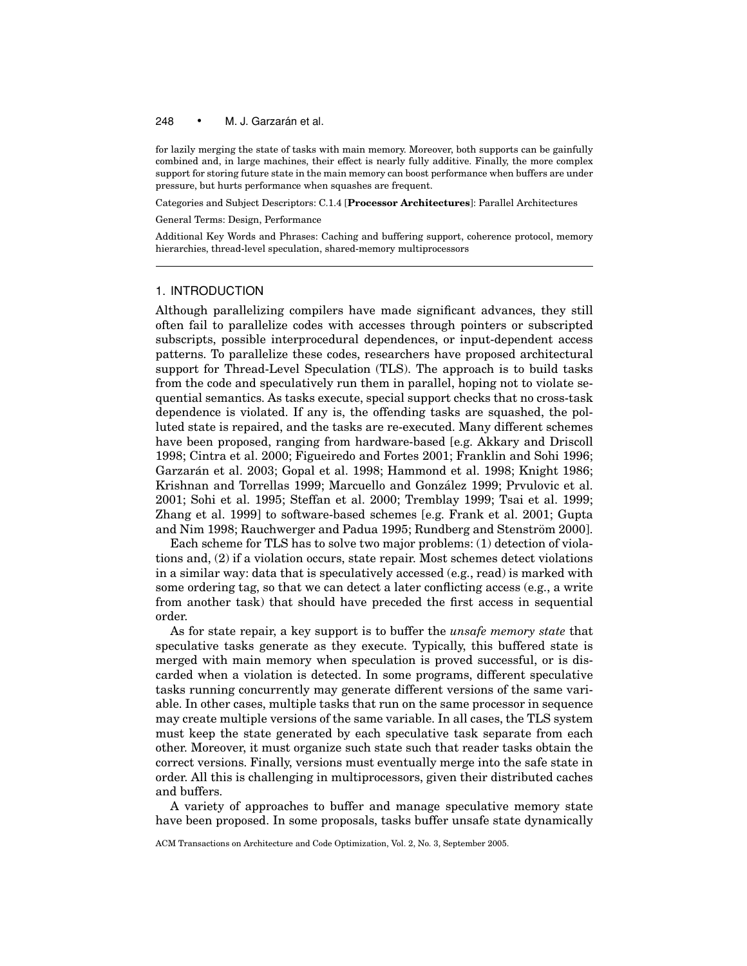for lazily merging the state of tasks with main memory. Moreover, both supports can be gainfully combined and, in large machines, their effect is nearly fully additive. Finally, the more complex support for storing future state in the main memory can boost performance when buffers are under pressure, but hurts performance when squashes are frequent.

Categories and Subject Descriptors: C.1.4 [**Processor Architectures**]: Parallel Architectures

General Terms: Design, Performance

Additional Key Words and Phrases: Caching and buffering support, coherence protocol, memory hierarchies, thread-level speculation, shared-memory multiprocessors

# 1. INTRODUCTION

Although parallelizing compilers have made significant advances, they still often fail to parallelize codes with accesses through pointers or subscripted subscripts, possible interprocedural dependences, or input-dependent access patterns. To parallelize these codes, researchers have proposed architectural support for Thread-Level Speculation (TLS). The approach is to build tasks from the code and speculatively run them in parallel, hoping not to violate sequential semantics. As tasks execute, special support checks that no cross-task dependence is violated. If any is, the offending tasks are squashed, the polluted state is repaired, and the tasks are re-executed. Many different schemes have been proposed, ranging from hardware-based [e.g. Akkary and Driscoll 1998; Cintra et al. 2000; Figueiredo and Fortes 2001; Franklin and Sohi 1996; Garzaran et al. 2003; Gopal et al. 1998; Hammond et al. 1998; Knight 1986; ´ Krishnan and Torrellas 1999; Marcuello and González 1999; Prvulovic et al. 2001; Sohi et al. 1995; Steffan et al. 2000; Tremblay 1999; Tsai et al. 1999; Zhang et al. 1999] to software-based schemes [e.g. Frank et al. 2001; Gupta and Nim 1998; Rauchwerger and Padua 1995; Rundberg and Stenström 2000].

Each scheme for TLS has to solve two major problems: (1) detection of violations and, (2) if a violation occurs, state repair. Most schemes detect violations in a similar way: data that is speculatively accessed (e.g., read) is marked with some ordering tag, so that we can detect a later conflicting access (e.g., a write from another task) that should have preceded the first access in sequential order.

As for state repair, a key support is to buffer the *unsafe memory state* that speculative tasks generate as they execute. Typically, this buffered state is merged with main memory when speculation is proved successful, or is discarded when a violation is detected. In some programs, different speculative tasks running concurrently may generate different versions of the same variable. In other cases, multiple tasks that run on the same processor in sequence may create multiple versions of the same variable. In all cases, the TLS system must keep the state generated by each speculative task separate from each other. Moreover, it must organize such state such that reader tasks obtain the correct versions. Finally, versions must eventually merge into the safe state in order. All this is challenging in multiprocessors, given their distributed caches and buffers.

A variety of approaches to buffer and manage speculative memory state have been proposed. In some proposals, tasks buffer unsafe state dynamically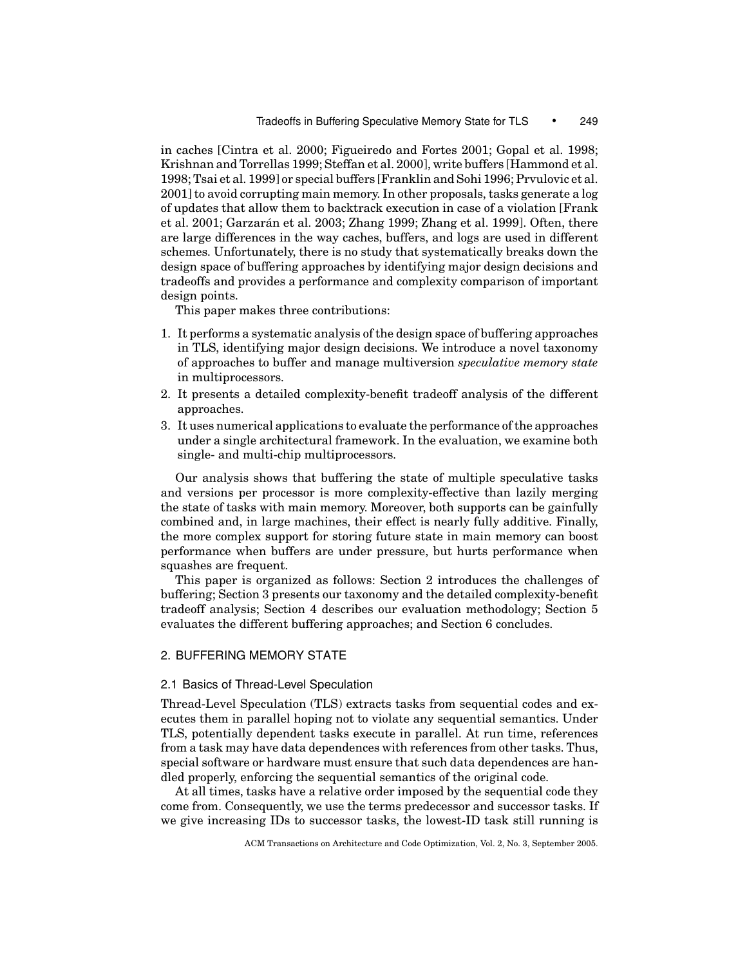in caches [Cintra et al. 2000; Figueiredo and Fortes 2001; Gopal et al. 1998; Krishnan and Torrellas 1999; Steffan et al. 2000], write buffers [Hammond et al. 1998; Tsai et al. 1999] or special buffers [Franklin and Sohi 1996; Prvulovic et al. 2001] to avoid corrupting main memory. In other proposals, tasks generate a log of updates that allow them to backtrack execution in case of a violation [Frank et al. 2001; Garzarán et al. 2003; Zhang 1999; Zhang et al. 1999]. Often, there are large differences in the way caches, buffers, and logs are used in different schemes. Unfortunately, there is no study that systematically breaks down the design space of buffering approaches by identifying major design decisions and tradeoffs and provides a performance and complexity comparison of important design points.

This paper makes three contributions:

- 1. It performs a systematic analysis of the design space of buffering approaches in TLS, identifying major design decisions. We introduce a novel taxonomy of approaches to buffer and manage multiversion *speculative memory state* in multiprocessors.
- 2. It presents a detailed complexity-benefit tradeoff analysis of the different approaches.
- 3. It uses numerical applications to evaluate the performance of the approaches under a single architectural framework. In the evaluation, we examine both single- and multi-chip multiprocessors.

Our analysis shows that buffering the state of multiple speculative tasks and versions per processor is more complexity-effective than lazily merging the state of tasks with main memory. Moreover, both supports can be gainfully combined and, in large machines, their effect is nearly fully additive. Finally, the more complex support for storing future state in main memory can boost performance when buffers are under pressure, but hurts performance when squashes are frequent.

This paper is organized as follows: Section 2 introduces the challenges of buffering; Section 3 presents our taxonomy and the detailed complexity-benefit tradeoff analysis; Section 4 describes our evaluation methodology; Section 5 evaluates the different buffering approaches; and Section 6 concludes.

# 2. BUFFERING MEMORY STATE

## 2.1 Basics of Thread-Level Speculation

Thread-Level Speculation (TLS) extracts tasks from sequential codes and executes them in parallel hoping not to violate any sequential semantics. Under TLS, potentially dependent tasks execute in parallel. At run time, references from a task may have data dependences with references from other tasks. Thus, special software or hardware must ensure that such data dependences are handled properly, enforcing the sequential semantics of the original code.

At all times, tasks have a relative order imposed by the sequential code they come from. Consequently, we use the terms predecessor and successor tasks. If we give increasing IDs to successor tasks, the lowest-ID task still running is

ACM Transactions on Architecture and Code Optimization, Vol. 2, No. 3, September 2005.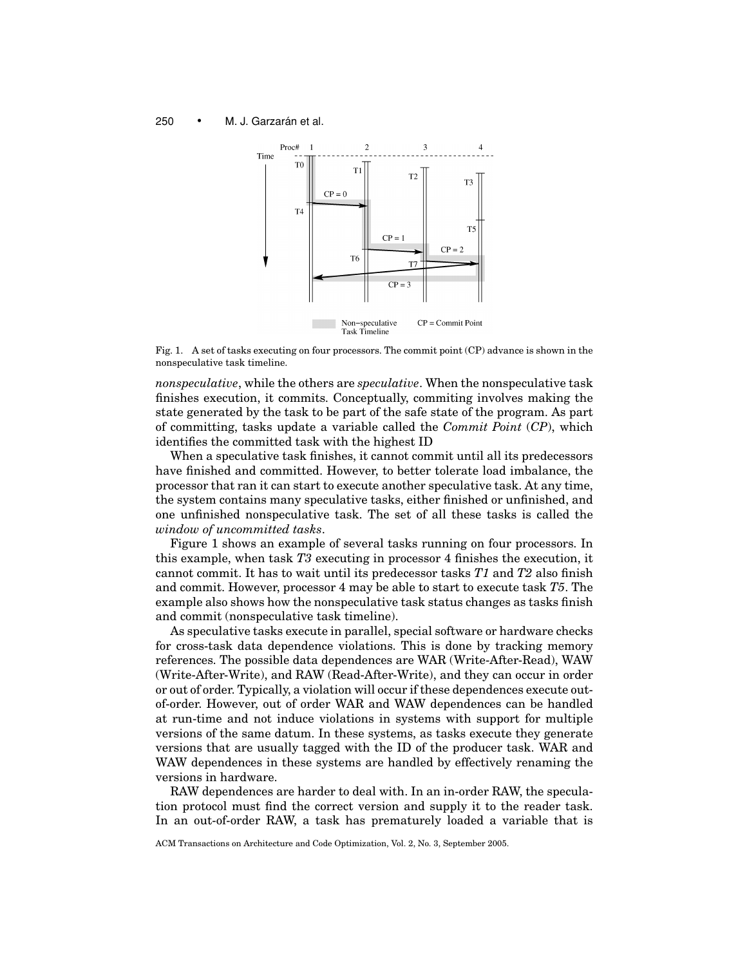250 • M. J. Garzarán et al.



Fig. 1. A set of tasks executing on four processors. The commit point (CP) advance is shown in the nonspeculative task timeline.

*nonspeculative*, while the others are *speculative*. When the nonspeculative task finishes execution, it commits. Conceptually, commiting involves making the state generated by the task to be part of the safe state of the program. As part of committing, tasks update a variable called the *Commit Point* (*CP*), which identifies the committed task with the highest ID

When a speculative task finishes, it cannot commit until all its predecessors have finished and committed. However, to better tolerate load imbalance, the processor that ran it can start to execute another speculative task. At any time, the system contains many speculative tasks, either finished or unfinished, and one unfinished nonspeculative task. The set of all these tasks is called the *window of uncommitted tasks*.

Figure 1 shows an example of several tasks running on four processors. In this example, when task *T3* executing in processor 4 finishes the execution, it cannot commit. It has to wait until its predecessor tasks *T1* and *T2* also finish and commit. However, processor 4 may be able to start to execute task *T5*. The example also shows how the nonspeculative task status changes as tasks finish and commit (nonspeculative task timeline).

As speculative tasks execute in parallel, special software or hardware checks for cross-task data dependence violations. This is done by tracking memory references. The possible data dependences are WAR (Write-After-Read), WAW (Write-After-Write), and RAW (Read-After-Write), and they can occur in order or out of order. Typically, a violation will occur if these dependences execute outof-order. However, out of order WAR and WAW dependences can be handled at run-time and not induce violations in systems with support for multiple versions of the same datum. In these systems, as tasks execute they generate versions that are usually tagged with the ID of the producer task. WAR and WAW dependences in these systems are handled by effectively renaming the versions in hardware.

RAW dependences are harder to deal with. In an in-order RAW, the speculation protocol must find the correct version and supply it to the reader task. In an out-of-order RAW, a task has prematurely loaded a variable that is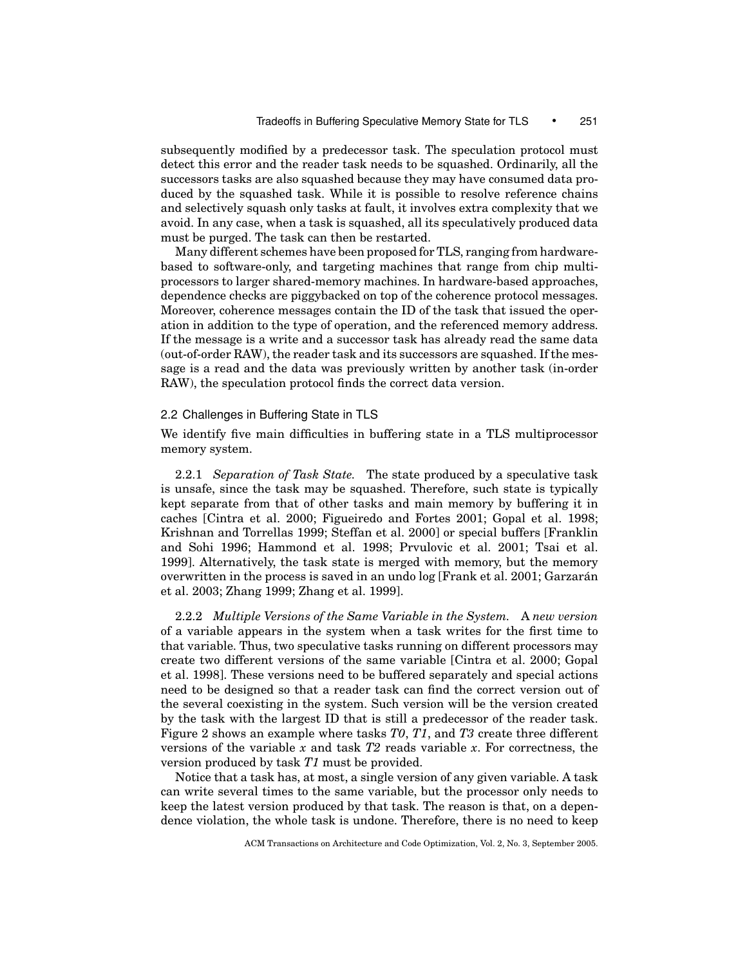subsequently modified by a predecessor task. The speculation protocol must detect this error and the reader task needs to be squashed. Ordinarily, all the successors tasks are also squashed because they may have consumed data produced by the squashed task. While it is possible to resolve reference chains and selectively squash only tasks at fault, it involves extra complexity that we avoid. In any case, when a task is squashed, all its speculatively produced data must be purged. The task can then be restarted.

Many different schemes have been proposed for TLS, ranging from hardwarebased to software-only, and targeting machines that range from chip multiprocessors to larger shared-memory machines. In hardware-based approaches, dependence checks are piggybacked on top of the coherence protocol messages. Moreover, coherence messages contain the ID of the task that issued the operation in addition to the type of operation, and the referenced memory address. If the message is a write and a successor task has already read the same data (out-of-order RAW), the reader task and its successors are squashed. If the message is a read and the data was previously written by another task (in-order RAW), the speculation protocol finds the correct data version.

# 2.2 Challenges in Buffering State in TLS

We identify five main difficulties in buffering state in a TLS multiprocessor memory system.

2.2.1 *Separation of Task State.* The state produced by a speculative task is unsafe, since the task may be squashed. Therefore, such state is typically kept separate from that of other tasks and main memory by buffering it in caches [Cintra et al. 2000; Figueiredo and Fortes 2001; Gopal et al. 1998; Krishnan and Torrellas 1999; Steffan et al. 2000] or special buffers [Franklin and Sohi 1996; Hammond et al. 1998; Prvulovic et al. 2001; Tsai et al. 1999]. Alternatively, the task state is merged with memory, but the memory overwritten in the process is saved in an undo log [Frank et al. 2001; Garzarán et al. 2003; Zhang 1999; Zhang et al. 1999].

2.2.2 *Multiple Versions of the Same Variable in the System.* A *new version* of a variable appears in the system when a task writes for the first time to that variable. Thus, two speculative tasks running on different processors may create two different versions of the same variable [Cintra et al. 2000; Gopal et al. 1998]. These versions need to be buffered separately and special actions need to be designed so that a reader task can find the correct version out of the several coexisting in the system. Such version will be the version created by the task with the largest ID that is still a predecessor of the reader task. Figure 2 shows an example where tasks *T0*, *T1*, and *T3* create three different versions of the variable *x* and task *T2* reads variable *x*. For correctness, the version produced by task *T1* must be provided.

Notice that a task has, at most, a single version of any given variable. A task can write several times to the same variable, but the processor only needs to keep the latest version produced by that task. The reason is that, on a dependence violation, the whole task is undone. Therefore, there is no need to keep

ACM Transactions on Architecture and Code Optimization, Vol. 2, No. 3, September 2005.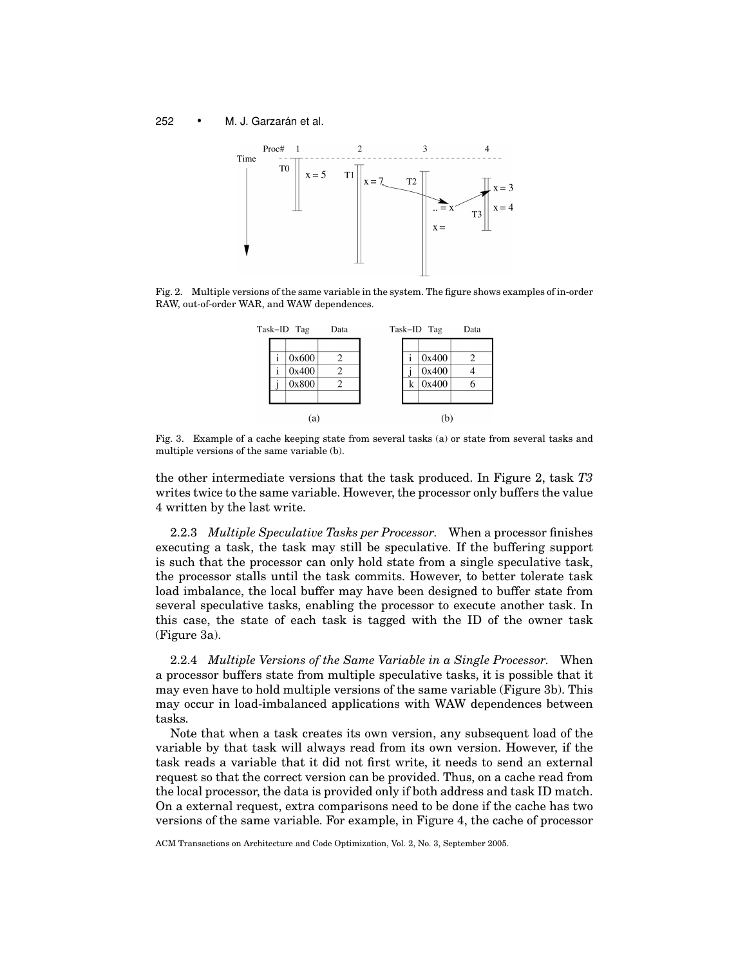252 • M. J. Garzarán et al.



Fig. 2. Multiple versions of the same variable in the system. The figure shows examples of in-order RAW, out-of-order WAR, and WAW dependences.



Fig. 3. Example of a cache keeping state from several tasks (a) or state from several tasks and multiple versions of the same variable (b).

the other intermediate versions that the task produced. In Figure 2, task *T3* writes twice to the same variable. However, the processor only buffers the value 4 written by the last write.

2.2.3 *Multiple Speculative Tasks per Processor.* When a processor finishes executing a task, the task may still be speculative. If the buffering support is such that the processor can only hold state from a single speculative task, the processor stalls until the task commits. However, to better tolerate task load imbalance, the local buffer may have been designed to buffer state from several speculative tasks, enabling the processor to execute another task. In this case, the state of each task is tagged with the ID of the owner task (Figure 3a).

2.2.4 *Multiple Versions of the Same Variable in a Single Processor.* When a processor buffers state from multiple speculative tasks, it is possible that it may even have to hold multiple versions of the same variable (Figure 3b). This may occur in load-imbalanced applications with WAW dependences between tasks.

Note that when a task creates its own version, any subsequent load of the variable by that task will always read from its own version. However, if the task reads a variable that it did not first write, it needs to send an external request so that the correct version can be provided. Thus, on a cache read from the local processor, the data is provided only if both address and task ID match. On a external request, extra comparisons need to be done if the cache has two versions of the same variable. For example, in Figure 4, the cache of processor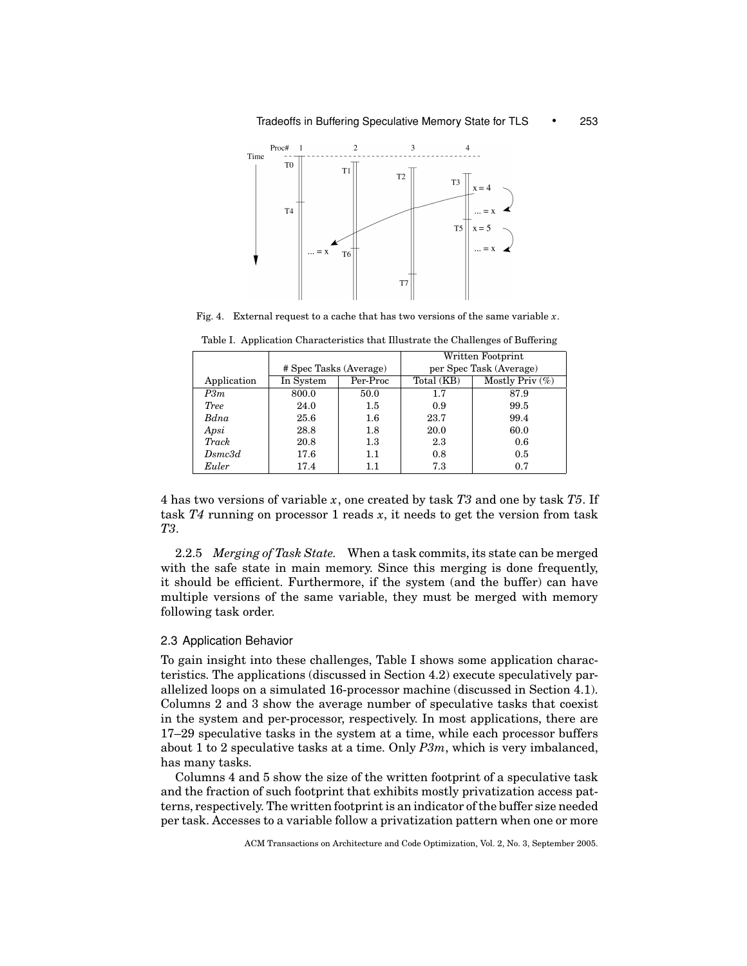

Fig. 4. External request to a cache that has two versions of the same variable *x*.

|             |                        |          | Written Footprint       |                    |  |  |
|-------------|------------------------|----------|-------------------------|--------------------|--|--|
|             | # Spec Tasks (Average) |          | per Spec Task (Average) |                    |  |  |
| Application | In System              | Per-Proc | Total (KB)              | Mostly Priv $(\%)$ |  |  |
| P3m         | 800.0                  | 50.0     | 1.7                     | 87.9               |  |  |
| <b>Tree</b> | 24.0                   | $1.5\,$  | 0.9                     | 99.5               |  |  |
| Bdna        | 25.6                   | $1.6\,$  | 23.7                    | 99.4               |  |  |
| Apsi        | 28.8                   | $1.8\,$  | 20.0                    | 60.0               |  |  |
| Track       | 20.8                   | $1.3\,$  | 2.3                     | 0.6                |  |  |
| Dsmc3d      | 17.6                   | 1.1      | 0.8                     | 0.5                |  |  |
| Euler       | 17.4                   | $1.1\,$  | 7.3                     | 0.7                |  |  |

Table I. Application Characteristics that Illustrate the Challenges of Buffering

4 has two versions of variable *x*, one created by task *T3* and one by task *T5*. If task *T4* running on processor 1 reads *x*, it needs to get the version from task *T3*.

2.2.5 *Merging of Task State.* When a task commits, its state can be merged with the safe state in main memory. Since this merging is done frequently, it should be efficient. Furthermore, if the system (and the buffer) can have multiple versions of the same variable, they must be merged with memory following task order.

#### 2.3 Application Behavior

To gain insight into these challenges, Table I shows some application characteristics. The applications (discussed in Section 4.2) execute speculatively parallelized loops on a simulated 16-processor machine (discussed in Section 4.1). Columns 2 and 3 show the average number of speculative tasks that coexist in the system and per-processor, respectively. In most applications, there are 17–29 speculative tasks in the system at a time, while each processor buffers about 1 to 2 speculative tasks at a time. Only *P3m*, which is very imbalanced, has many tasks.

Columns 4 and 5 show the size of the written footprint of a speculative task and the fraction of such footprint that exhibits mostly privatization access patterns, respectively. The written footprint is an indicator of the buffer size needed per task. Accesses to a variable follow a privatization pattern when one or more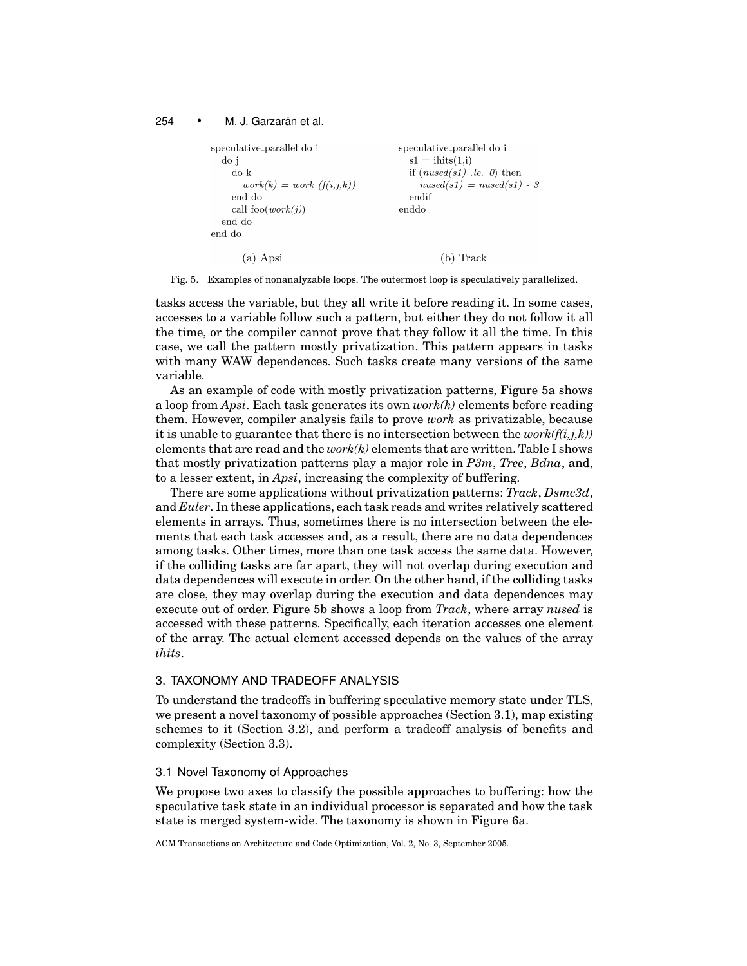```
speculative_parallel do i
speculative_parallel do i
  do j
                                              s1 = \text{hits}(1, i)d \circ kif (nused(s1) .le. 0) then
       work(k) = work (f(i,j,k))nused(s1) = nused(s1) - 3endif
    end do
    call foo(wordk(j))enddo
  end do
end do
                                                      (b) Track
       (a) Apsi
```
Fig. 5. Examples of nonanalyzable loops. The outermost loop is speculatively parallelized.

tasks access the variable, but they all write it before reading it. In some cases, accesses to a variable follow such a pattern, but either they do not follow it all the time, or the compiler cannot prove that they follow it all the time. In this case, we call the pattern mostly privatization. This pattern appears in tasks with many WAW dependences. Such tasks create many versions of the same variable.

As an example of code with mostly privatization patterns, Figure 5a shows a loop from *Apsi*. Each task generates its own *work(k)* elements before reading them. However, compiler analysis fails to prove *work* as privatizable, because it is unable to guarantee that there is no intersection between the  $work(f(i,j,k))$ elements that are read and the *work(k)* elements that are written. Table I shows that mostly privatization patterns play a major role in *P3m*, *Tree*, *Bdna*, and, to a lesser extent, in *Apsi*, increasing the complexity of buffering.

There are some applications without privatization patterns: *Track*, *Dsmc3d*, and *Euler*. In these applications, each task reads and writes relatively scattered elements in arrays. Thus, sometimes there is no intersection between the elements that each task accesses and, as a result, there are no data dependences among tasks. Other times, more than one task access the same data. However, if the colliding tasks are far apart, they will not overlap during execution and data dependences will execute in order. On the other hand, if the colliding tasks are close, they may overlap during the execution and data dependences may execute out of order. Figure 5b shows a loop from *Track*, where array *nused* is accessed with these patterns. Specifically, each iteration accesses one element of the array. The actual element accessed depends on the values of the array *ihits*.

# 3. TAXONOMY AND TRADEOFF ANALYSIS

To understand the tradeoffs in buffering speculative memory state under TLS, we present a novel taxonomy of possible approaches (Section 3.1), map existing schemes to it (Section 3.2), and perform a tradeoff analysis of benefits and complexity (Section 3.3).

## 3.1 Novel Taxonomy of Approaches

We propose two axes to classify the possible approaches to buffering: how the speculative task state in an individual processor is separated and how the task state is merged system-wide. The taxonomy is shown in Figure 6a.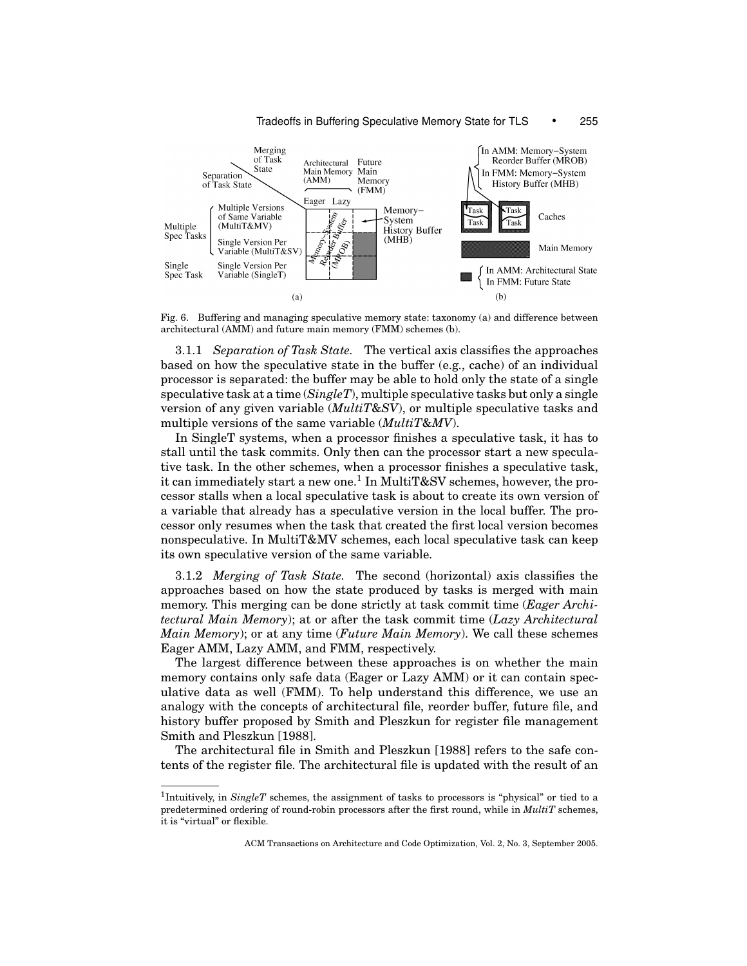

Fig. 6. Buffering and managing speculative memory state: taxonomy (a) and difference between architectural (AMM) and future main memory (FMM) schemes (b).

3.1.1 *Separation of Task State.* The vertical axis classifies the approaches based on how the speculative state in the buffer (e.g., cache) of an individual processor is separated: the buffer may be able to hold only the state of a single speculative task at a time (*SingleT*), multiple speculative tasks but only a single version of any given variable (*MultiT*&*SV*), or multiple speculative tasks and multiple versions of the same variable (*MultiT*&*MV*).

In SingleT systems, when a processor finishes a speculative task, it has to stall until the task commits. Only then can the processor start a new speculative task. In the other schemes, when a processor finishes a speculative task, it can immediately start a new one.<sup>1</sup> In MultiT&SV schemes, however, the processor stalls when a local speculative task is about to create its own version of a variable that already has a speculative version in the local buffer. The processor only resumes when the task that created the first local version becomes nonspeculative. In MultiT&MV schemes, each local speculative task can keep its own speculative version of the same variable.

3.1.2 *Merging of Task State.* The second (horizontal) axis classifies the approaches based on how the state produced by tasks is merged with main memory. This merging can be done strictly at task commit time (*Eager Architectural Main Memory*); at or after the task commit time (*Lazy Architectural Main Memory*); or at any time (*Future Main Memory*). We call these schemes Eager AMM, Lazy AMM, and FMM, respectively.

The largest difference between these approaches is on whether the main memory contains only safe data (Eager or Lazy AMM) or it can contain speculative data as well (FMM). To help understand this difference, we use an analogy with the concepts of architectural file, reorder buffer, future file, and history buffer proposed by Smith and Pleszkun for register file management Smith and Pleszkun [1988].

The architectural file in Smith and Pleszkun [1988] refers to the safe contents of the register file. The architectural file is updated with the result of an

<sup>1</sup>Intuitively, in *SingleT* schemes, the assignment of tasks to processors is "physical" or tied to a predetermined ordering of round-robin processors after the first round, while in *MultiT* schemes, it is "virtual" or flexible.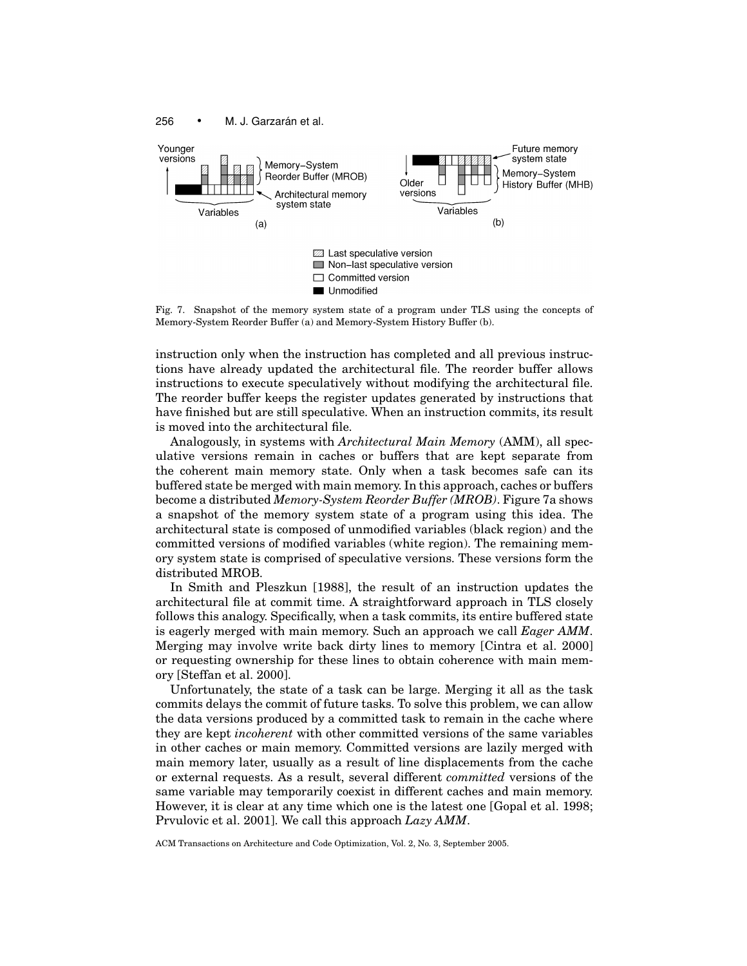

Fig. 7. Snapshot of the memory system state of a program under TLS using the concepts of Memory-System Reorder Buffer (a) and Memory-System History Buffer (b).

instruction only when the instruction has completed and all previous instructions have already updated the architectural file. The reorder buffer allows instructions to execute speculatively without modifying the architectural file. The reorder buffer keeps the register updates generated by instructions that have finished but are still speculative. When an instruction commits, its result is moved into the architectural file.

Analogously, in systems with *Architectural Main Memory* (AMM), all speculative versions remain in caches or buffers that are kept separate from the coherent main memory state. Only when a task becomes safe can its buffered state be merged with main memory. In this approach, caches or buffers become a distributed *Memory-System Reorder Buffer (MROB)*. Figure 7a shows a snapshot of the memory system state of a program using this idea. The architectural state is composed of unmodified variables (black region) and the committed versions of modified variables (white region). The remaining memory system state is comprised of speculative versions. These versions form the distributed MROB.

In Smith and Pleszkun [1988], the result of an instruction updates the architectural file at commit time. A straightforward approach in TLS closely follows this analogy. Specifically, when a task commits, its entire buffered state is eagerly merged with main memory. Such an approach we call *Eager AMM*. Merging may involve write back dirty lines to memory [Cintra et al. 2000] or requesting ownership for these lines to obtain coherence with main memory [Steffan et al. 2000].

Unfortunately, the state of a task can be large. Merging it all as the task commits delays the commit of future tasks. To solve this problem, we can allow the data versions produced by a committed task to remain in the cache where they are kept *incoherent* with other committed versions of the same variables in other caches or main memory. Committed versions are lazily merged with main memory later, usually as a result of line displacements from the cache or external requests. As a result, several different *committed* versions of the same variable may temporarily coexist in different caches and main memory. However, it is clear at any time which one is the latest one [Gopal et al. 1998; Prvulovic et al. 2001]. We call this approach *Lazy AMM*.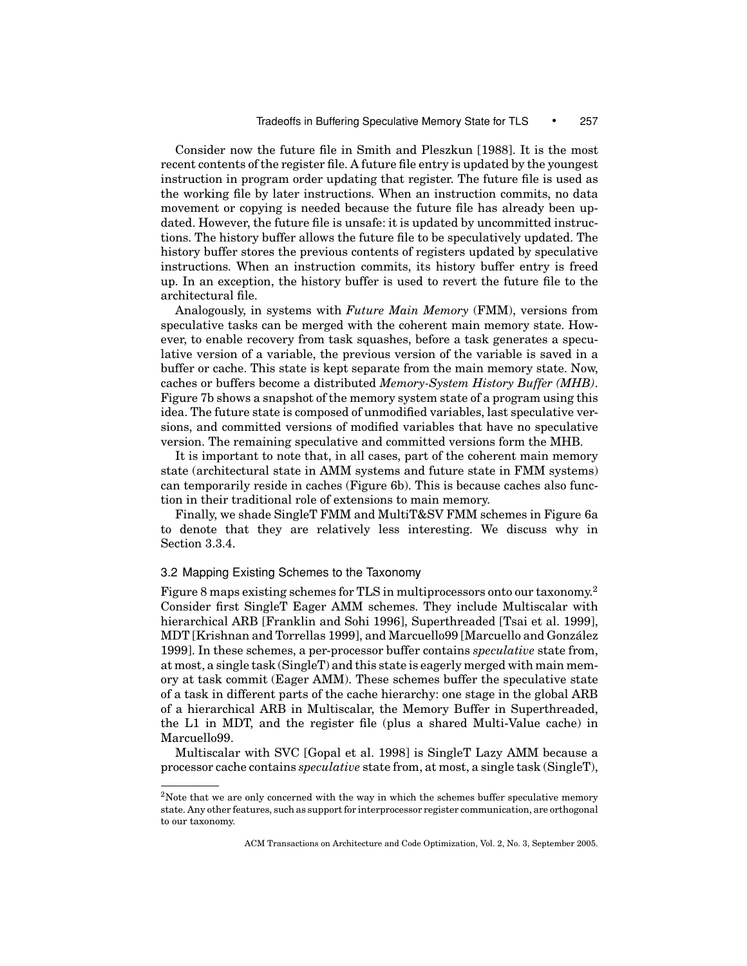Consider now the future file in Smith and Pleszkun [1988]. It is the most recent contents of the register file. A future file entry is updated by the youngest instruction in program order updating that register. The future file is used as the working file by later instructions. When an instruction commits, no data movement or copying is needed because the future file has already been updated. However, the future file is unsafe: it is updated by uncommitted instructions. The history buffer allows the future file to be speculatively updated. The history buffer stores the previous contents of registers updated by speculative instructions. When an instruction commits, its history buffer entry is freed up. In an exception, the history buffer is used to revert the future file to the architectural file.

Analogously, in systems with *Future Main Memory* (FMM), versions from speculative tasks can be merged with the coherent main memory state. However, to enable recovery from task squashes, before a task generates a speculative version of a variable, the previous version of the variable is saved in a buffer or cache. This state is kept separate from the main memory state. Now, caches or buffers become a distributed *Memory-System History Buffer (MHB)*. Figure 7b shows a snapshot of the memory system state of a program using this idea. The future state is composed of unmodified variables, last speculative versions, and committed versions of modified variables that have no speculative version. The remaining speculative and committed versions form the MHB.

It is important to note that, in all cases, part of the coherent main memory state (architectural state in AMM systems and future state in FMM systems) can temporarily reside in caches (Figure 6b). This is because caches also function in their traditional role of extensions to main memory.

Finally, we shade SingleT FMM and MultiT&SV FMM schemes in Figure 6a to denote that they are relatively less interesting. We discuss why in Section 3.3.4.

# 3.2 Mapping Existing Schemes to the Taxonomy

Figure 8 maps existing schemes for TLS in multiprocessors onto our taxonomy.<sup>2</sup> Consider first SingleT Eager AMM schemes. They include Multiscalar with hierarchical ARB [Franklin and Sohi 1996], Superthreaded [Tsai et al. 1999], MDT [Krishnan and Torrellas 1999], and Marcuello99 [Marcuello and Gonzalez ´ 1999]. In these schemes, a per-processor buffer contains *speculative* state from, at most, a single task (SingleT) and this state is eagerly merged with main memory at task commit (Eager AMM). These schemes buffer the speculative state of a task in different parts of the cache hierarchy: one stage in the global ARB of a hierarchical ARB in Multiscalar, the Memory Buffer in Superthreaded, the L1 in MDT, and the register file (plus a shared Multi-Value cache) in Marcuello99.

Multiscalar with SVC [Gopal et al. 1998] is SingleT Lazy AMM because a processor cache contains *speculative* state from, at most, a single task (SingleT),

<sup>&</sup>lt;sup>2</sup>Note that we are only concerned with the way in which the schemes buffer speculative memory state. Any other features, such as support for interprocessor register communication, are orthogonal to our taxonomy.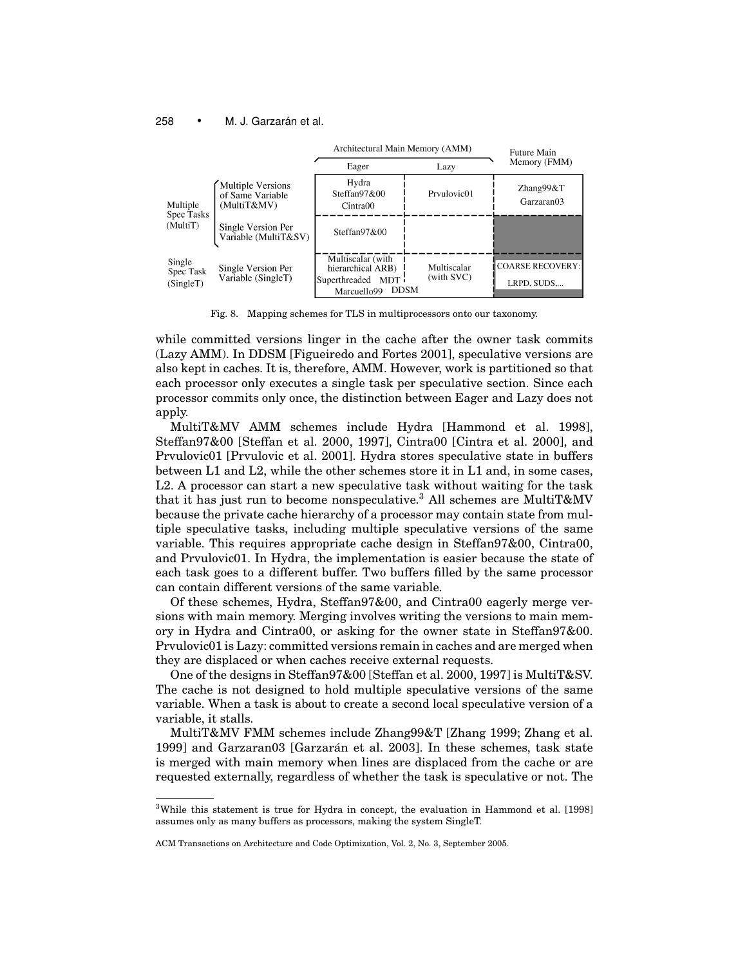

Fig. 8. Mapping schemes for TLS in multiprocessors onto our taxonomy.

while committed versions linger in the cache after the owner task commits (Lazy AMM). In DDSM [Figueiredo and Fortes 2001], speculative versions are also kept in caches. It is, therefore, AMM. However, work is partitioned so that each processor only executes a single task per speculative section. Since each processor commits only once, the distinction between Eager and Lazy does not apply.

MultiT&MV AMM schemes include Hydra [Hammond et al. 1998], Steffan97&00 [Steffan et al. 2000, 1997], Cintra00 [Cintra et al. 2000], and Prvulovic01 [Prvulovic et al. 2001]. Hydra stores speculative state in buffers between L1 and L2, while the other schemes store it in L1 and, in some cases, L2. A processor can start a new speculative task without waiting for the task that it has just run to become nonspeculative.<sup>3</sup> All schemes are MultiT&MV because the private cache hierarchy of a processor may contain state from multiple speculative tasks, including multiple speculative versions of the same variable. This requires appropriate cache design in Steffan97&00, Cintra00, and Prvulovic01. In Hydra, the implementation is easier because the state of each task goes to a different buffer. Two buffers filled by the same processor can contain different versions of the same variable.

Of these schemes, Hydra, Steffan97&00, and Cintra00 eagerly merge versions with main memory. Merging involves writing the versions to main memory in Hydra and Cintra00, or asking for the owner state in Steffan97&00. Prvulovic01 is Lazy: committed versions remain in caches and are merged when they are displaced or when caches receive external requests.

One of the designs in Steffan97&00 [Steffan et al. 2000, 1997] is MultiT&SV. The cache is not designed to hold multiple speculative versions of the same variable. When a task is about to create a second local speculative version of a variable, it stalls.

MultiT&MV FMM schemes include Zhang99&T [Zhang 1999; Zhang et al. 1999] and Garzaran03 [Garzaran et al. 2003]. In these schemes, task state ´ is merged with main memory when lines are displaced from the cache or are requested externally, regardless of whether the task is speculative or not. The

<sup>3</sup>While this statement is true for Hydra in concept, the evaluation in Hammond et al. [1998] assumes only as many buffers as processors, making the system SingleT.

ACM Transactions on Architecture and Code Optimization, Vol. 2, No. 3, September 2005.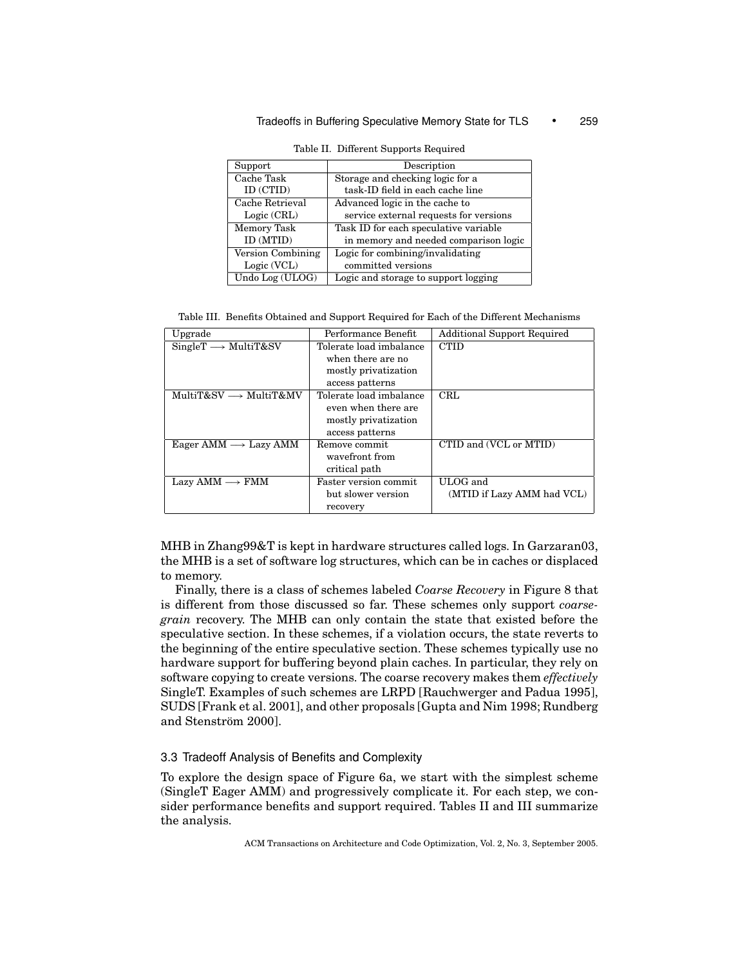## Tradeoffs in Buffering Speculative Memory State for TLS • 259

|                 | Support           | Description                            |  |  |  |  |
|-----------------|-------------------|----------------------------------------|--|--|--|--|
|                 | Cache Task        | Storage and checking logic for a       |  |  |  |  |
|                 | ID (CTID)         | task-ID field in each cache line       |  |  |  |  |
|                 | Cache Retrieval   | Advanced logic in the cache to         |  |  |  |  |
|                 | Logic (CRL)       | service external requests for versions |  |  |  |  |
|                 | Memory Task       | Task ID for each speculative variable  |  |  |  |  |
|                 | ID (MTID)         | in memory and needed comparison logic  |  |  |  |  |
|                 | Version Combining | Logic for combining/invalidating       |  |  |  |  |
|                 | Logic (VCL)       | committed versions                     |  |  |  |  |
| Undo Log (ULOG) |                   | Logic and storage to support logging   |  |  |  |  |

Table II. Different Supports Required

Table III. Benefits Obtained and Support Required for Each of the Different Mechanisms

| Upgrade                               | Performance Benefit     | <b>Additional Support Required</b> |  |  |
|---------------------------------------|-------------------------|------------------------------------|--|--|
| $SingleT \longrightarrow MultiT&SV$   | Tolerate load imbalance | <b>CTID</b>                        |  |  |
|                                       | when there are no       |                                    |  |  |
|                                       | mostly privatization    |                                    |  |  |
|                                       | access patterns         |                                    |  |  |
| MultiT&SV $\longrightarrow$ MultiT&MV | Tolerate load imbalance | <b>CRL</b>                         |  |  |
|                                       | even when there are     |                                    |  |  |
|                                       | mostly privatization    |                                    |  |  |
|                                       | access patterns         |                                    |  |  |
| Eager AMM $\longrightarrow$ Lazy AMM  | Remove commit           | CTID and (VCL or MTID)             |  |  |
|                                       | wavefront from          |                                    |  |  |
|                                       | critical path           |                                    |  |  |
| Lazy AMM $\longrightarrow$ FMM        | Faster version commit   | ULOG and                           |  |  |
|                                       | but slower version      | (MTID if Lazy AMM had VCL)         |  |  |
|                                       | recovery                |                                    |  |  |

MHB in Zhang99&T is kept in hardware structures called logs. In Garzaran03, the MHB is a set of software log structures, which can be in caches or displaced to memory.

Finally, there is a class of schemes labeled *Coarse Recovery* in Figure 8 that is different from those discussed so far. These schemes only support *coarsegrain* recovery. The MHB can only contain the state that existed before the speculative section. In these schemes, if a violation occurs, the state reverts to the beginning of the entire speculative section. These schemes typically use no hardware support for buffering beyond plain caches. In particular, they rely on software copying to create versions. The coarse recovery makes them *effectively* SingleT. Examples of such schemes are LRPD [Rauchwerger and Padua 1995], SUDS [Frank et al. 2001], and other proposals [Gupta and Nim 1998; Rundberg and Stenström 2000].

# 3.3 Tradeoff Analysis of Benefits and Complexity

To explore the design space of Figure 6a, we start with the simplest scheme (SingleT Eager AMM) and progressively complicate it. For each step, we consider performance benefits and support required. Tables II and III summarize the analysis.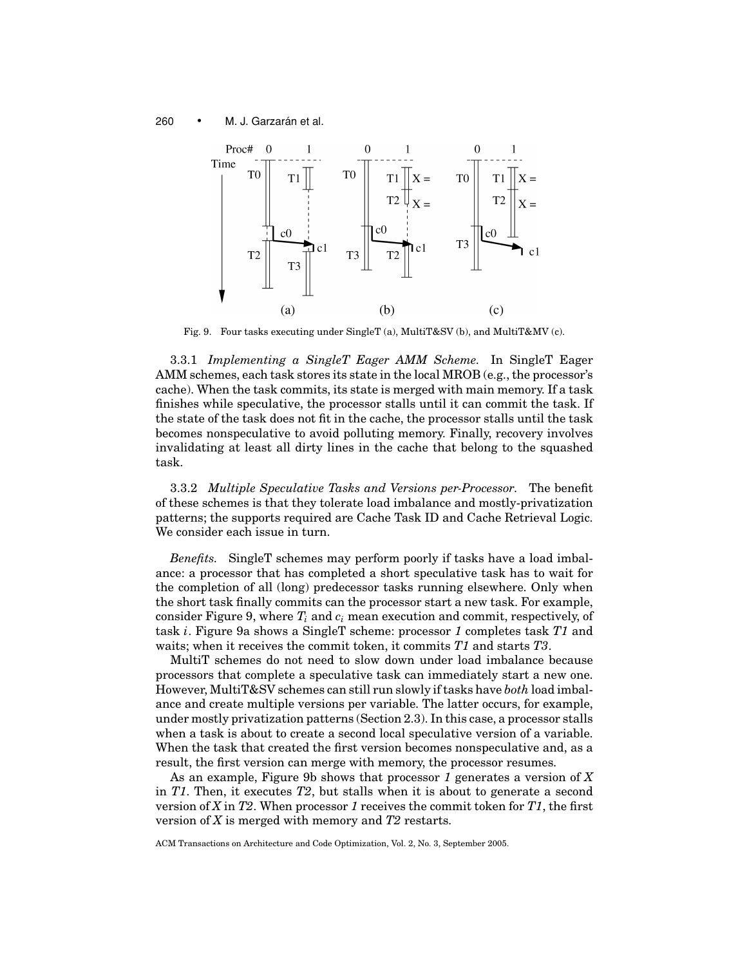

Fig. 9. Four tasks executing under SingleT (a), MultiT&SV (b), and MultiT&MV (c).

3.3.1 *Implementing a SingleT Eager AMM Scheme.* In SingleT Eager AMM schemes, each task stores its state in the local MROB (e.g., the processor's cache). When the task commits, its state is merged with main memory. If a task finishes while speculative, the processor stalls until it can commit the task. If the state of the task does not fit in the cache, the processor stalls until the task becomes nonspeculative to avoid polluting memory. Finally, recovery involves invalidating at least all dirty lines in the cache that belong to the squashed task.

3.3.2 *Multiple Speculative Tasks and Versions per-Processor.* The benefit of these schemes is that they tolerate load imbalance and mostly-privatization patterns; the supports required are Cache Task ID and Cache Retrieval Logic. We consider each issue in turn.

*Benefits.* SingleT schemes may perform poorly if tasks have a load imbalance: a processor that has completed a short speculative task has to wait for the completion of all (long) predecessor tasks running elsewhere. Only when the short task finally commits can the processor start a new task. For example, consider Figure 9, where *Ti* and *ci* mean execution and commit, respectively, of task *i*. Figure 9a shows a SingleT scheme: processor *1* completes task *T1* and waits; when it receives the commit token, it commits *T1* and starts *T3*.

MultiT schemes do not need to slow down under load imbalance because processors that complete a speculative task can immediately start a new one. However, MultiT&SV schemes can still run slowly if tasks have *both* load imbalance and create multiple versions per variable. The latter occurs, for example, under mostly privatization patterns (Section 2.3). In this case, a processor stalls when a task is about to create a second local speculative version of a variable. When the task that created the first version becomes nonspeculative and, as a result, the first version can merge with memory, the processor resumes.

As an example, Figure 9b shows that processor *1* generates a version of *X* in *T1*. Then, it executes *T2*, but stalls when it is about to generate a second version of *X* in *T2*. When processor *1* receives the commit token for *T1*, the first version of *X* is merged with memory and *T2* restarts.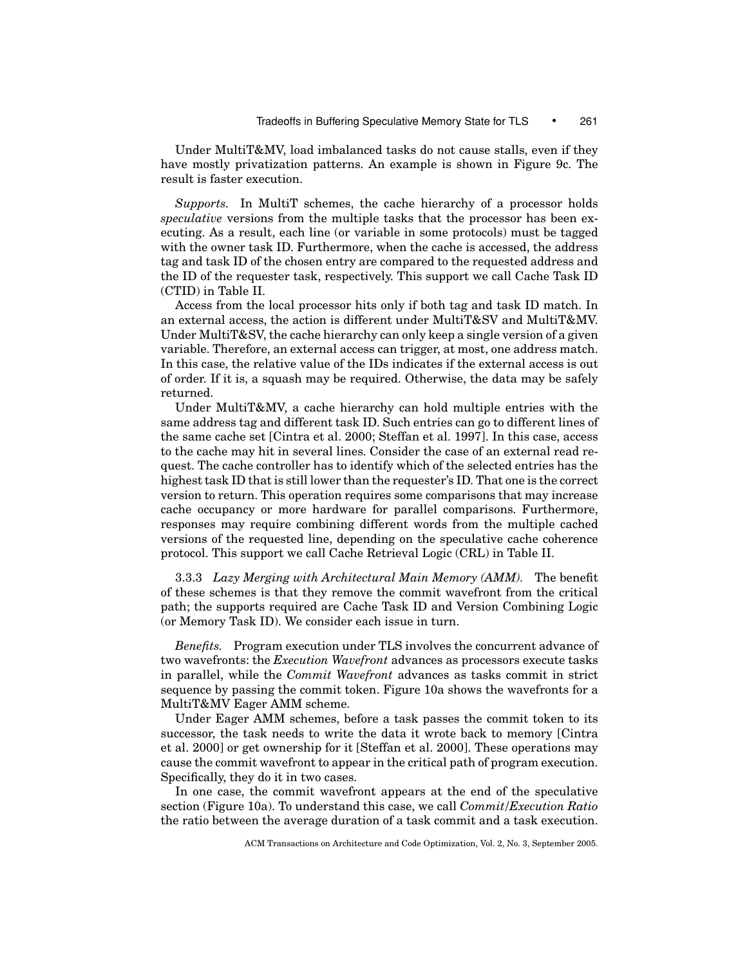Under MultiT&MV, load imbalanced tasks do not cause stalls, even if they have mostly privatization patterns. An example is shown in Figure 9c. The result is faster execution.

*Supports.* In MultiT schemes, the cache hierarchy of a processor holds *speculative* versions from the multiple tasks that the processor has been executing. As a result, each line (or variable in some protocols) must be tagged with the owner task ID. Furthermore, when the cache is accessed, the address tag and task ID of the chosen entry are compared to the requested address and the ID of the requester task, respectively. This support we call Cache Task ID (CTID) in Table II.

Access from the local processor hits only if both tag and task ID match. In an external access, the action is different under MultiT&SV and MultiT&MV. Under MultiT&SV, the cache hierarchy can only keep a single version of a given variable. Therefore, an external access can trigger, at most, one address match. In this case, the relative value of the IDs indicates if the external access is out of order. If it is, a squash may be required. Otherwise, the data may be safely returned.

Under MultiT&MV, a cache hierarchy can hold multiple entries with the same address tag and different task ID. Such entries can go to different lines of the same cache set [Cintra et al. 2000; Steffan et al. 1997]. In this case, access to the cache may hit in several lines. Consider the case of an external read request. The cache controller has to identify which of the selected entries has the highest task ID that is still lower than the requester's ID. That one is the correct version to return. This operation requires some comparisons that may increase cache occupancy or more hardware for parallel comparisons. Furthermore, responses may require combining different words from the multiple cached versions of the requested line, depending on the speculative cache coherence protocol. This support we call Cache Retrieval Logic (CRL) in Table II.

3.3.3 *Lazy Merging with Architectural Main Memory (AMM).* The benefit of these schemes is that they remove the commit wavefront from the critical path; the supports required are Cache Task ID and Version Combining Logic (or Memory Task ID). We consider each issue in turn.

*Benefits.* Program execution under TLS involves the concurrent advance of two wavefronts: the *Execution Wavefront* advances as processors execute tasks in parallel, while the *Commit Wavefront* advances as tasks commit in strict sequence by passing the commit token. Figure 10a shows the wavefronts for a MultiT&MV Eager AMM scheme.

Under Eager AMM schemes, before a task passes the commit token to its successor, the task needs to write the data it wrote back to memory [Cintra et al. 2000] or get ownership for it [Steffan et al. 2000]. These operations may cause the commit wavefront to appear in the critical path of program execution. Specifically, they do it in two cases.

In one case, the commit wavefront appears at the end of the speculative section (Figure 10a). To understand this case, we call *Commit/Execution Ratio* the ratio between the average duration of a task commit and a task execution.

ACM Transactions on Architecture and Code Optimization, Vol. 2, No. 3, September 2005.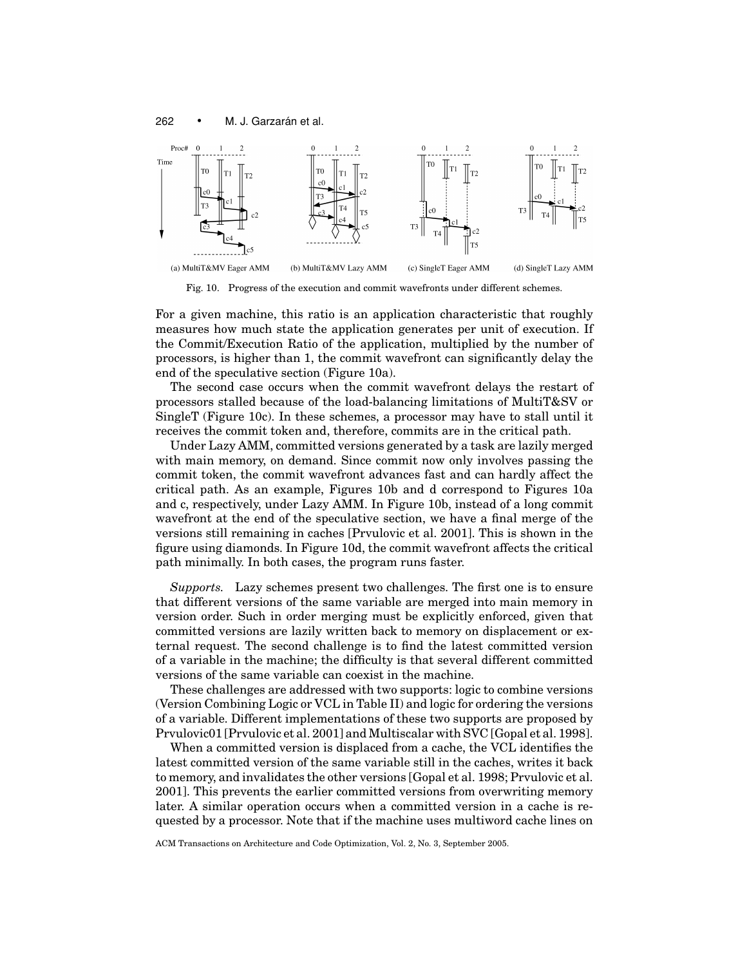

Fig. 10. Progress of the execution and commit wavefronts under different schemes.

For a given machine, this ratio is an application characteristic that roughly measures how much state the application generates per unit of execution. If the Commit/Execution Ratio of the application, multiplied by the number of processors, is higher than 1, the commit wavefront can significantly delay the end of the speculative section (Figure 10a).

The second case occurs when the commit wavefront delays the restart of processors stalled because of the load-balancing limitations of MultiT&SV or SingleT (Figure 10c). In these schemes, a processor may have to stall until it receives the commit token and, therefore, commits are in the critical path.

Under Lazy AMM, committed versions generated by a task are lazily merged with main memory, on demand. Since commit now only involves passing the commit token, the commit wavefront advances fast and can hardly affect the critical path. As an example, Figures 10b and d correspond to Figures 10a and c, respectively, under Lazy AMM. In Figure 10b, instead of a long commit wavefront at the end of the speculative section, we have a final merge of the versions still remaining in caches [Prvulovic et al. 2001]. This is shown in the figure using diamonds. In Figure 10d, the commit wavefront affects the critical path minimally. In both cases, the program runs faster.

*Supports.* Lazy schemes present two challenges. The first one is to ensure that different versions of the same variable are merged into main memory in version order. Such in order merging must be explicitly enforced, given that committed versions are lazily written back to memory on displacement or external request. The second challenge is to find the latest committed version of a variable in the machine; the difficulty is that several different committed versions of the same variable can coexist in the machine.

These challenges are addressed with two supports: logic to combine versions (Version Combining Logic or VCL in Table II) and logic for ordering the versions of a variable. Different implementations of these two supports are proposed by Prvulovic01 [Prvulovic et al. 2001] and Multiscalar with SVC [Gopal et al. 1998].

When a committed version is displaced from a cache, the VCL identifies the latest committed version of the same variable still in the caches, writes it back to memory, and invalidates the other versions [Gopal et al. 1998; Prvulovic et al. 2001]. This prevents the earlier committed versions from overwriting memory later. A similar operation occurs when a committed version in a cache is requested by a processor. Note that if the machine uses multiword cache lines on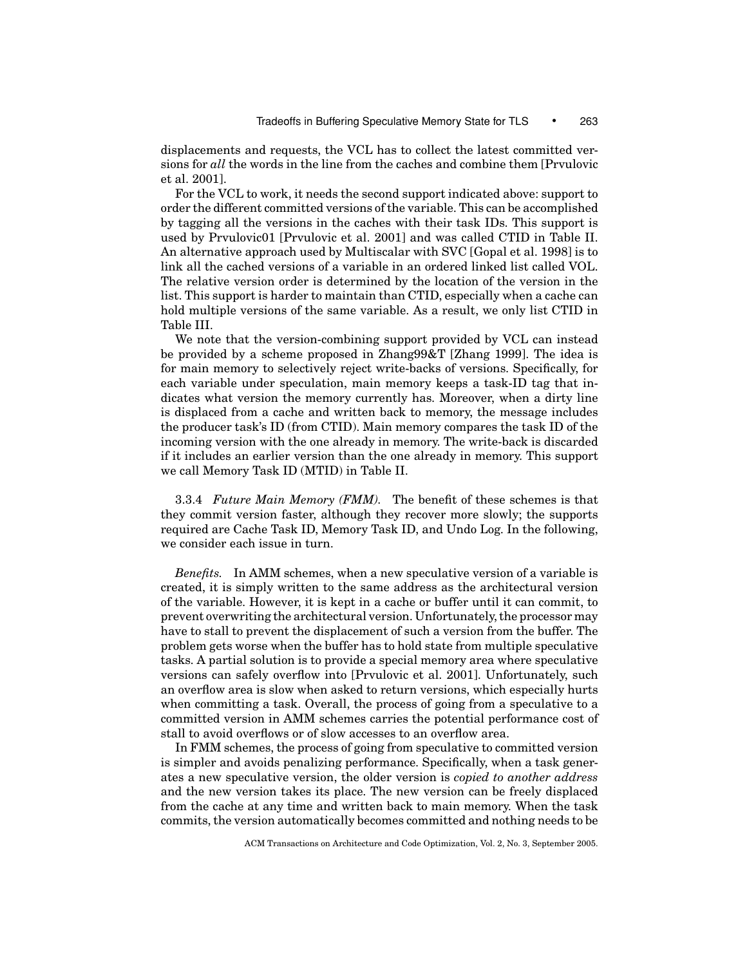displacements and requests, the VCL has to collect the latest committed versions for *all* the words in the line from the caches and combine them [Prvulovic et al. 2001].

For the VCL to work, it needs the second support indicated above: support to order the different committed versions of the variable. This can be accomplished by tagging all the versions in the caches with their task IDs. This support is used by Prvulovic01 [Prvulovic et al. 2001] and was called CTID in Table II. An alternative approach used by Multiscalar with SVC [Gopal et al. 1998] is to link all the cached versions of a variable in an ordered linked list called VOL. The relative version order is determined by the location of the version in the list. This support is harder to maintain than CTID, especially when a cache can hold multiple versions of the same variable. As a result, we only list CTID in Table III.

We note that the version-combining support provided by VCL can instead be provided by a scheme proposed in Zhang99&T [Zhang 1999]. The idea is for main memory to selectively reject write-backs of versions. Specifically, for each variable under speculation, main memory keeps a task-ID tag that indicates what version the memory currently has. Moreover, when a dirty line is displaced from a cache and written back to memory, the message includes the producer task's ID (from CTID). Main memory compares the task ID of the incoming version with the one already in memory. The write-back is discarded if it includes an earlier version than the one already in memory. This support we call Memory Task ID (MTID) in Table II.

3.3.4 *Future Main Memory (FMM).* The benefit of these schemes is that they commit version faster, although they recover more slowly; the supports required are Cache Task ID, Memory Task ID, and Undo Log. In the following, we consider each issue in turn.

*Benefits.* In AMM schemes, when a new speculative version of a variable is created, it is simply written to the same address as the architectural version of the variable. However, it is kept in a cache or buffer until it can commit, to prevent overwriting the architectural version. Unfortunately, the processor may have to stall to prevent the displacement of such a version from the buffer. The problem gets worse when the buffer has to hold state from multiple speculative tasks. A partial solution is to provide a special memory area where speculative versions can safely overflow into [Prvulovic et al. 2001]. Unfortunately, such an overflow area is slow when asked to return versions, which especially hurts when committing a task. Overall, the process of going from a speculative to a committed version in AMM schemes carries the potential performance cost of stall to avoid overflows or of slow accesses to an overflow area.

In FMM schemes, the process of going from speculative to committed version is simpler and avoids penalizing performance. Specifically, when a task generates a new speculative version, the older version is *copied to another address* and the new version takes its place. The new version can be freely displaced from the cache at any time and written back to main memory. When the task commits, the version automatically becomes committed and nothing needs to be

ACM Transactions on Architecture and Code Optimization, Vol. 2, No. 3, September 2005.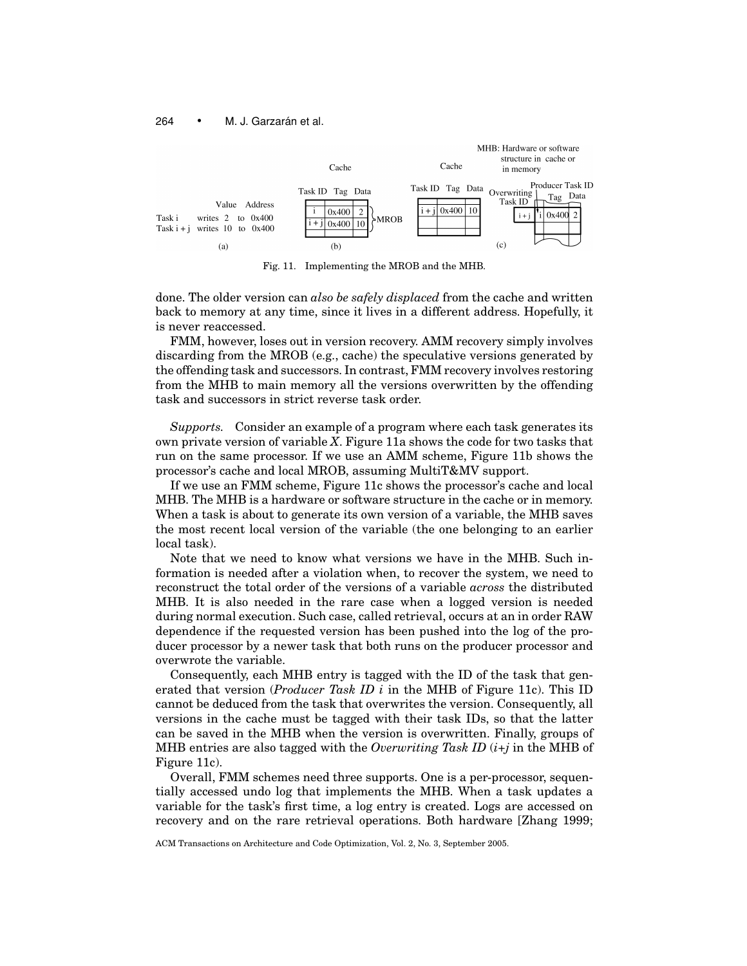

Fig. 11. Implementing the MROB and the MHB.

done. The older version can *also be safely displaced* from the cache and written back to memory at any time, since it lives in a different address. Hopefully, it is never reaccessed.

FMM, however, loses out in version recovery. AMM recovery simply involves discarding from the MROB (e.g., cache) the speculative versions generated by the offending task and successors. In contrast, FMM recovery involves restoring from the MHB to main memory all the versions overwritten by the offending task and successors in strict reverse task order.

*Supports.* Consider an example of a program where each task generates its own private version of variable *X*. Figure 11a shows the code for two tasks that run on the same processor. If we use an AMM scheme, Figure 11b shows the processor's cache and local MROB, assuming MultiT&MV support.

If we use an FMM scheme, Figure 11c shows the processor's cache and local MHB. The MHB is a hardware or software structure in the cache or in memory. When a task is about to generate its own version of a variable, the MHB saves the most recent local version of the variable (the one belonging to an earlier local task).

Note that we need to know what versions we have in the MHB. Such information is needed after a violation when, to recover the system, we need to reconstruct the total order of the versions of a variable *across* the distributed MHB. It is also needed in the rare case when a logged version is needed during normal execution. Such case, called retrieval, occurs at an in order RAW dependence if the requested version has been pushed into the log of the producer processor by a newer task that both runs on the producer processor and overwrote the variable.

Consequently, each MHB entry is tagged with the ID of the task that generated that version (*Producer Task ID i* in the MHB of Figure 11c). This ID cannot be deduced from the task that overwrites the version. Consequently, all versions in the cache must be tagged with their task IDs, so that the latter can be saved in the MHB when the version is overwritten. Finally, groups of MHB entries are also tagged with the *Overwriting Task ID* (*i+j* in the MHB of Figure 11c).

Overall, FMM schemes need three supports. One is a per-processor, sequentially accessed undo log that implements the MHB. When a task updates a variable for the task's first time, a log entry is created. Logs are accessed on recovery and on the rare retrieval operations. Both hardware [Zhang 1999;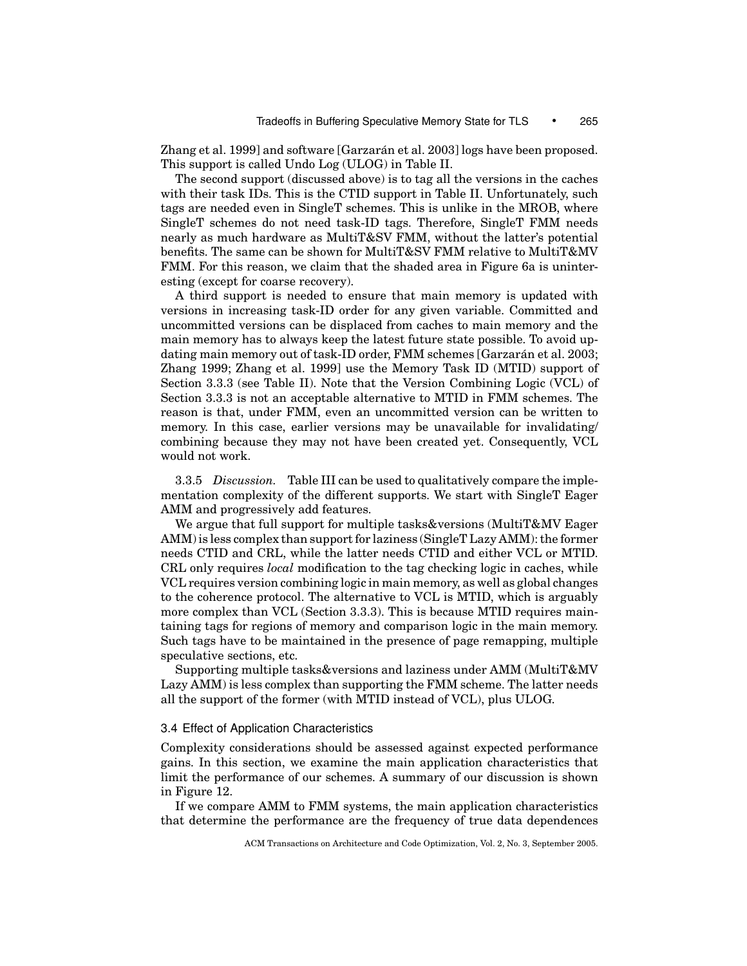Zhang et al. 1999] and software [Garzarán et al. 2003] logs have been proposed. This support is called Undo Log (ULOG) in Table II.

The second support (discussed above) is to tag all the versions in the caches with their task IDs. This is the CTID support in Table II. Unfortunately, such tags are needed even in SingleT schemes. This is unlike in the MROB, where SingleT schemes do not need task-ID tags. Therefore, SingleT FMM needs nearly as much hardware as MultiT&SV FMM, without the latter's potential benefits. The same can be shown for MultiT&SV FMM relative to MultiT&MV FMM. For this reason, we claim that the shaded area in Figure 6a is uninteresting (except for coarse recovery).

A third support is needed to ensure that main memory is updated with versions in increasing task-ID order for any given variable. Committed and uncommitted versions can be displaced from caches to main memory and the main memory has to always keep the latest future state possible. To avoid updating main memory out of task-ID order, FMM schemes [Garzarán et al. 2003; Zhang 1999; Zhang et al. 1999] use the Memory Task ID (MTID) support of Section 3.3.3 (see Table II). Note that the Version Combining Logic (VCL) of Section 3.3.3 is not an acceptable alternative to MTID in FMM schemes. The reason is that, under FMM, even an uncommitted version can be written to memory. In this case, earlier versions may be unavailable for invalidating/ combining because they may not have been created yet. Consequently, VCL would not work.

3.3.5 *Discussion.* Table III can be used to qualitatively compare the implementation complexity of the different supports. We start with SingleT Eager AMM and progressively add features.

We argue that full support for multiple tasks&versions (MultiT&MV Eager AMM) is less complex than support for laziness (SingleT Lazy AMM): the former needs CTID and CRL, while the latter needs CTID and either VCL or MTID. CRL only requires *local* modification to the tag checking logic in caches, while VCL requires version combining logic in main memory, as well as global changes to the coherence protocol. The alternative to VCL is MTID, which is arguably more complex than VCL (Section 3.3.3). This is because MTID requires maintaining tags for regions of memory and comparison logic in the main memory. Such tags have to be maintained in the presence of page remapping, multiple speculative sections, etc.

Supporting multiple tasks&versions and laziness under AMM (MultiT&MV Lazy AMM) is less complex than supporting the FMM scheme. The latter needs all the support of the former (with MTID instead of VCL), plus ULOG.

## 3.4 Effect of Application Characteristics

Complexity considerations should be assessed against expected performance gains. In this section, we examine the main application characteristics that limit the performance of our schemes. A summary of our discussion is shown in Figure 12.

If we compare AMM to FMM systems, the main application characteristics that determine the performance are the frequency of true data dependences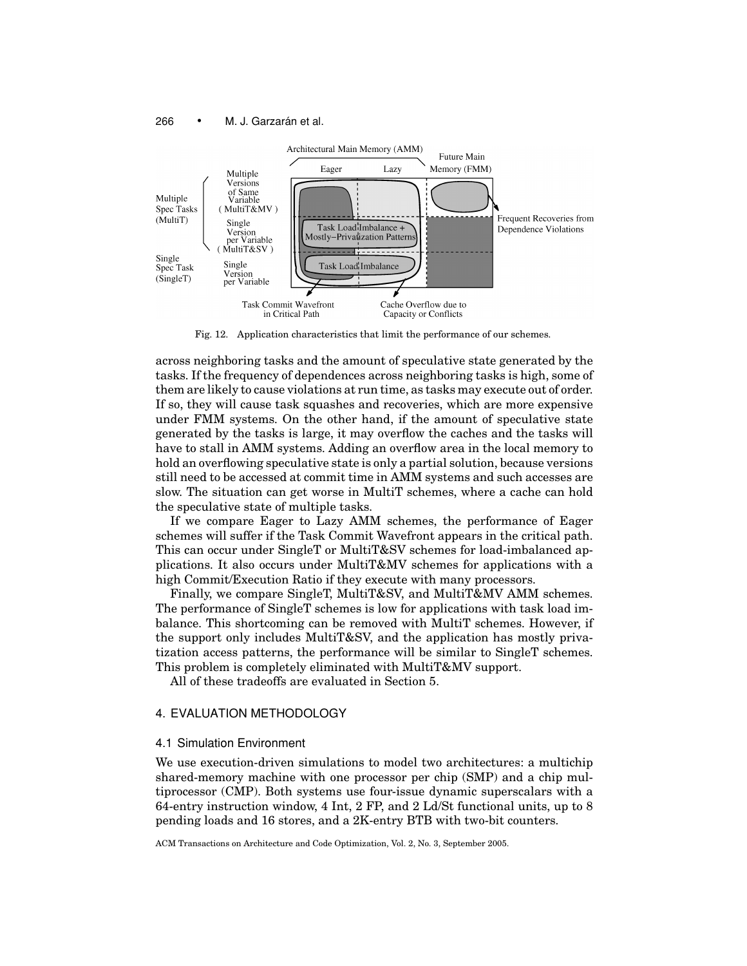

Fig. 12. Application characteristics that limit the performance of our schemes.

across neighboring tasks and the amount of speculative state generated by the tasks. If the frequency of dependences across neighboring tasks is high, some of them are likely to cause violations at run time, as tasks may execute out of order. If so, they will cause task squashes and recoveries, which are more expensive under FMM systems. On the other hand, if the amount of speculative state generated by the tasks is large, it may overflow the caches and the tasks will have to stall in AMM systems. Adding an overflow area in the local memory to hold an overflowing speculative state is only a partial solution, because versions still need to be accessed at commit time in AMM systems and such accesses are slow. The situation can get worse in MultiT schemes, where a cache can hold the speculative state of multiple tasks.

If we compare Eager to Lazy AMM schemes, the performance of Eager schemes will suffer if the Task Commit Wavefront appears in the critical path. This can occur under SingleT or MultiT&SV schemes for load-imbalanced applications. It also occurs under MultiT&MV schemes for applications with a high Commit/Execution Ratio if they execute with many processors.

Finally, we compare SingleT, MultiT&SV, and MultiT&MV AMM schemes. The performance of SingleT schemes is low for applications with task load imbalance. This shortcoming can be removed with MultiT schemes. However, if the support only includes MultiT&SV, and the application has mostly privatization access patterns, the performance will be similar to SingleT schemes. This problem is completely eliminated with MultiT&MV support.

All of these tradeoffs are evaluated in Section 5.

# 4. EVALUATION METHODOLOGY

## 4.1 Simulation Environment

We use execution-driven simulations to model two architectures: a multichip shared-memory machine with one processor per chip (SMP) and a chip multiprocessor (CMP). Both systems use four-issue dynamic superscalars with a 64-entry instruction window, 4 Int, 2 FP, and 2 Ld/St functional units, up to 8 pending loads and 16 stores, and a 2K-entry BTB with two-bit counters.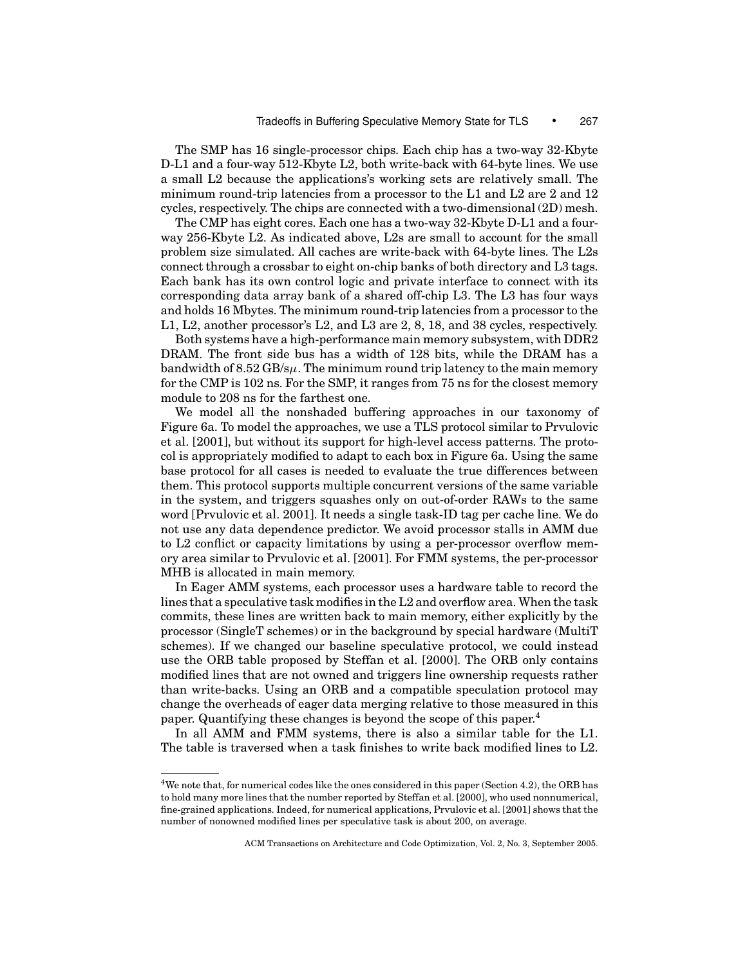The SMP has 16 single-processor chips. Each chip has a two-way 32-Kbyte D-L1 and a four-way 512-Kbyte L2, both write-back with 64-byte lines. We use a small L2 because the applications's working sets are relatively small. The minimum round-trip latencies from a processor to the L1 and L2 are 2 and 12 cycles, respectively. The chips are connected with a two-dimensional (2D) mesh.

The CMP has eight cores. Each one has a two-way 32-Kbyte D-L1 and a fourway 256-Kbyte L2. As indicated above, L2s are small to account for the small problem size simulated. All caches are write-back with 64-byte lines. The L2s connect through a crossbar to eight on-chip banks of both directory and L3 tags. Each bank has its own control logic and private interface to connect with its corresponding data array bank of a shared off-chip L3. The L3 has four ways and holds 16 Mbytes. The minimum round-trip latencies from a processor to the L1, L2, another processor's L2, and L3 are 2, 8, 18, and 38 cycles, respectively.

Both systems have a high-performance main memory subsystem, with DDR2 DRAM. The front side bus has a width of 128 bits, while the DRAM has a bandwidth of  $8.52$  GB/s $\mu$ . The minimum round trip latency to the main memory for the CMP is 102 ns. For the SMP, it ranges from 75 ns for the closest memory module to 208 ns for the farthest one.

We model all the nonshaded buffering approaches in our taxonomy of Figure 6a. To model the approaches, we use a TLS protocol similar to Prvulovic et al. [2001], but without its support for high-level access patterns. The protocol is appropriately modified to adapt to each box in Figure 6a. Using the same base protocol for all cases is needed to evaluate the true differences between them. This protocol supports multiple concurrent versions of the same variable in the system, and triggers squashes only on out-of-order RAWs to the same word [Prvulovic et al. 2001]. It needs a single task-ID tag per cache line. We do not use any data dependence predictor. We avoid processor stalls in AMM due to L2 conflict or capacity limitations by using a per-processor overflow memory area similar to Prvulovic et al. [2001]. For FMM systems, the per-processor MHB is allocated in main memory.

In Eager AMM systems, each processor uses a hardware table to record the lines that a speculative task modifies in the L2 and overflow area. When the task commits, these lines are written back to main memory, either explicitly by the processor (SingleT schemes) or in the background by special hardware (MultiT schemes). If we changed our baseline speculative protocol, we could instead use the ORB table proposed by Steffan et al. [2000]. The ORB only contains modified lines that are not owned and triggers line ownership requests rather than write-backs. Using an ORB and a compatible speculation protocol may change the overheads of eager data merging relative to those measured in this paper. Quantifying these changes is beyond the scope of this paper.<sup>4</sup>

In all AMM and FMM systems, there is also a similar table for the L1. The table is traversed when a task finishes to write back modified lines to L2.

<sup>4</sup>We note that, for numerical codes like the ones considered in this paper (Section 4.2), the ORB has to hold many more lines that the number reported by Steffan et al. [2000], who used nonnumerical, fine-grained applications. Indeed, for numerical applications, Prvulovic et al. [2001] shows that the number of nonowned modified lines per speculative task is about 200, on average.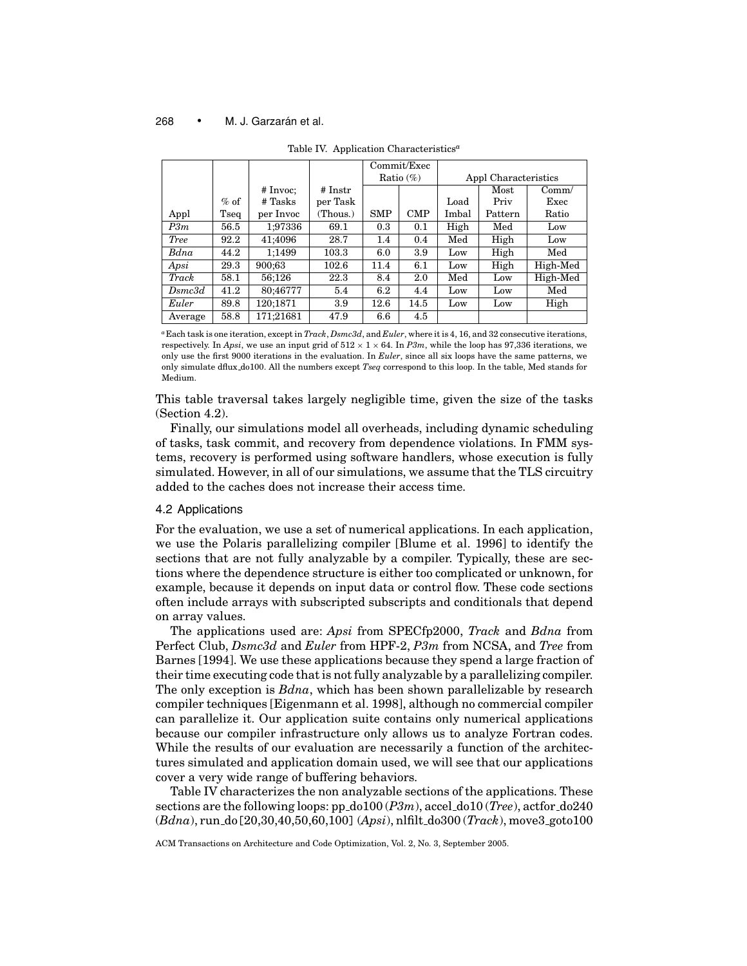|              |         |           |           | Commit/Exec  |            |                      |         |          |
|--------------|---------|-----------|-----------|--------------|------------|----------------------|---------|----------|
|              |         |           |           | Ratio $(\%)$ |            | Appl Characteristics |         |          |
|              |         | # Invoc:  | $#$ Instr |              |            |                      | Most    | Comm/    |
|              | $\%$ of | # Tasks   | per Task  |              |            | Load                 | Priv    | Exec     |
| Appl         | Tseq    | per Invoc | (Thous.)  | <b>SMP</b>   | <b>CMP</b> | Imbal                | Pattern | Ratio    |
| P3m          | 56.5    | 1:97336   | 69.1      | 0.3          | 0.1        | High                 | Med     | Low      |
| <b>Tree</b>  | 92.2    | 41;4096   | 28.7      | 1.4          | 0.4        | Med                  | High    | Low      |
| <b>B</b> dna | 44.2    | 1:1499    | 103.3     | 6.0          | 3.9        | Low                  | High    | Med      |
| Apsi         | 29.3    | 900:63    | 102.6     | 11.4         | 6.1        | Low                  | High    | High-Med |
| Track        | 58.1    | 56:126    | 22.3      | 8.4          | 2.0        | Med                  | Low     | High-Med |
| Dsmc3d       | 41.2    | 80;46777  | 5.4       | 6.2          | 4.4        | Low                  | Low     | Med      |
| Euler        | 89.8    | 120;1871  | 3.9       | 12.6         | 14.5       | Low                  | Low     | High     |
| Average      | 58.8    | 171;21681 | 47.9      | 6.6          | 4.5        |                      |         |          |

Table IV. Application Characteristics*<sup>a</sup>*

*<sup>a</sup>*Each task is one iteration, except in *Track*, *Dsmc3d*, and *Euler*, where it is 4, 16, and 32 consecutive iterations, respectively. In *Apsi*, we use an input grid of  $512 \times 1 \times 64$ . In *P3m*, while the loop has 97,336 iterations, we only use the first 9000 iterations in the evaluation. In *Euler*, since all six loops have the same patterns, we only simulate dflux do100. All the numbers except *Tseq* correspond to this loop. In the table, Med stands for Medium.

This table traversal takes largely negligible time, given the size of the tasks (Section 4.2).

Finally, our simulations model all overheads, including dynamic scheduling of tasks, task commit, and recovery from dependence violations. In FMM systems, recovery is performed using software handlers, whose execution is fully simulated. However, in all of our simulations, we assume that the TLS circuitry added to the caches does not increase their access time.

# 4.2 Applications

For the evaluation, we use a set of numerical applications. In each application, we use the Polaris parallelizing compiler [Blume et al. 1996] to identify the sections that are not fully analyzable by a compiler. Typically, these are sections where the dependence structure is either too complicated or unknown, for example, because it depends on input data or control flow. These code sections often include arrays with subscripted subscripts and conditionals that depend on array values.

The applications used are: *Apsi* from SPECfp2000, *Track* and *Bdna* from Perfect Club, *Dsmc3d* and *Euler* from HPF-2, *P3m* from NCSA, and *Tree* from Barnes [1994]. We use these applications because they spend a large fraction of their time executing code that is not fully analyzable by a parallelizing compiler. The only exception is *Bdna*, which has been shown parallelizable by research compiler techniques [Eigenmann et al. 1998], although no commercial compiler can parallelize it. Our application suite contains only numerical applications because our compiler infrastructure only allows us to analyze Fortran codes. While the results of our evaluation are necessarily a function of the architectures simulated and application domain used, we will see that our applications cover a very wide range of buffering behaviors.

Table IV characterizes the non analyzable sections of the applications. These sections are the following loops: pp do100 (*P3m*), accel do10 (*Tree*), actfor do240 (*Bdna*), run do[20,30,40,50,60,100] (*Apsi*), nlfilt do300 (*Track*), move3 goto100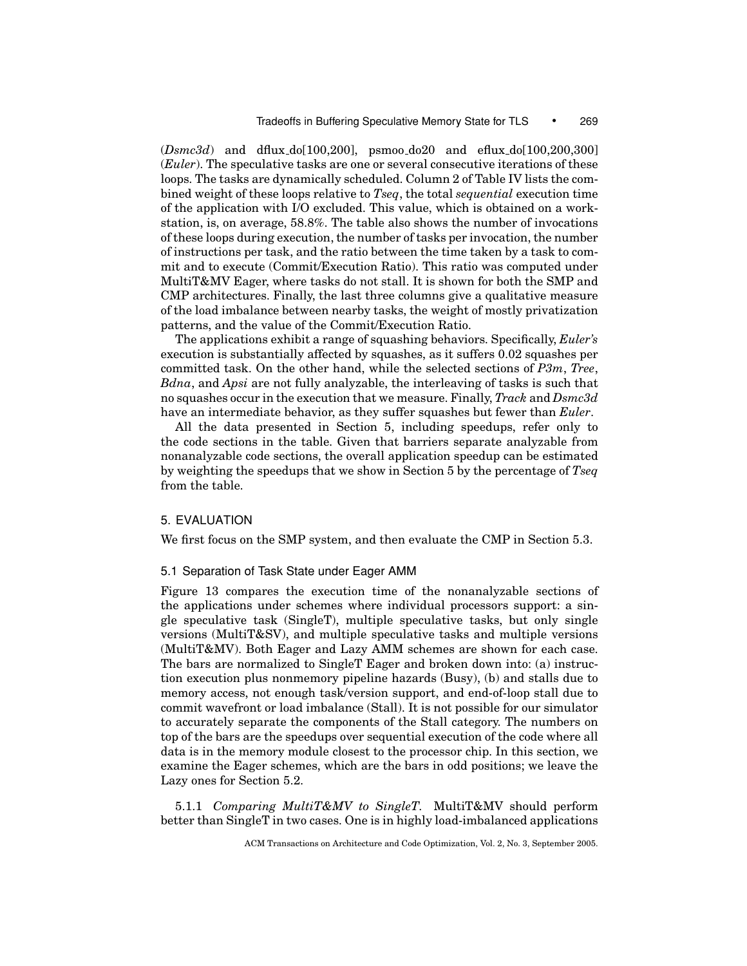(*Dsmc3d*) and dflux do[100,200], psmoo do20 and eflux do[100,200,300] (*Euler*). The speculative tasks are one or several consecutive iterations of these loops. The tasks are dynamically scheduled. Column 2 of Table IV lists the combined weight of these loops relative to *Tseq*, the total *sequential* execution time of the application with I/O excluded. This value, which is obtained on a workstation, is, on average, 58.8%. The table also shows the number of invocations of these loops during execution, the number of tasks per invocation, the number of instructions per task, and the ratio between the time taken by a task to commit and to execute (Commit/Execution Ratio). This ratio was computed under MultiT&MV Eager, where tasks do not stall. It is shown for both the SMP and CMP architectures. Finally, the last three columns give a qualitative measure of the load imbalance between nearby tasks, the weight of mostly privatization patterns, and the value of the Commit/Execution Ratio.

The applications exhibit a range of squashing behaviors. Specifically, *Euler's* execution is substantially affected by squashes, as it suffers 0.02 squashes per committed task. On the other hand, while the selected sections of *P3m*, *Tree*, *Bdna*, and *Apsi* are not fully analyzable, the interleaving of tasks is such that no squashes occur in the execution that we measure. Finally, *Track* and *Dsmc3d* have an intermediate behavior, as they suffer squashes but fewer than *Euler*.

All the data presented in Section 5, including speedups, refer only to the code sections in the table. Given that barriers separate analyzable from nonanalyzable code sections, the overall application speedup can be estimated by weighting the speedups that we show in Section 5 by the percentage of *Tseq* from the table.

# 5. EVALUATION

We first focus on the SMP system, and then evaluate the CMP in Section 5.3.

# 5.1 Separation of Task State under Eager AMM

Figure 13 compares the execution time of the nonanalyzable sections of the applications under schemes where individual processors support: a single speculative task (SingleT), multiple speculative tasks, but only single versions (MultiT&SV), and multiple speculative tasks and multiple versions (MultiT&MV). Both Eager and Lazy AMM schemes are shown for each case. The bars are normalized to SingleT Eager and broken down into: (a) instruction execution plus nonmemory pipeline hazards (Busy), (b) and stalls due to memory access, not enough task/version support, and end-of-loop stall due to commit wavefront or load imbalance (Stall). It is not possible for our simulator to accurately separate the components of the Stall category. The numbers on top of the bars are the speedups over sequential execution of the code where all data is in the memory module closest to the processor chip. In this section, we examine the Eager schemes, which are the bars in odd positions; we leave the Lazy ones for Section 5.2.

5.1.1 *Comparing MultiT&MV to SingleT.* MultiT&MV should perform better than SingleT in two cases. One is in highly load-imbalanced applications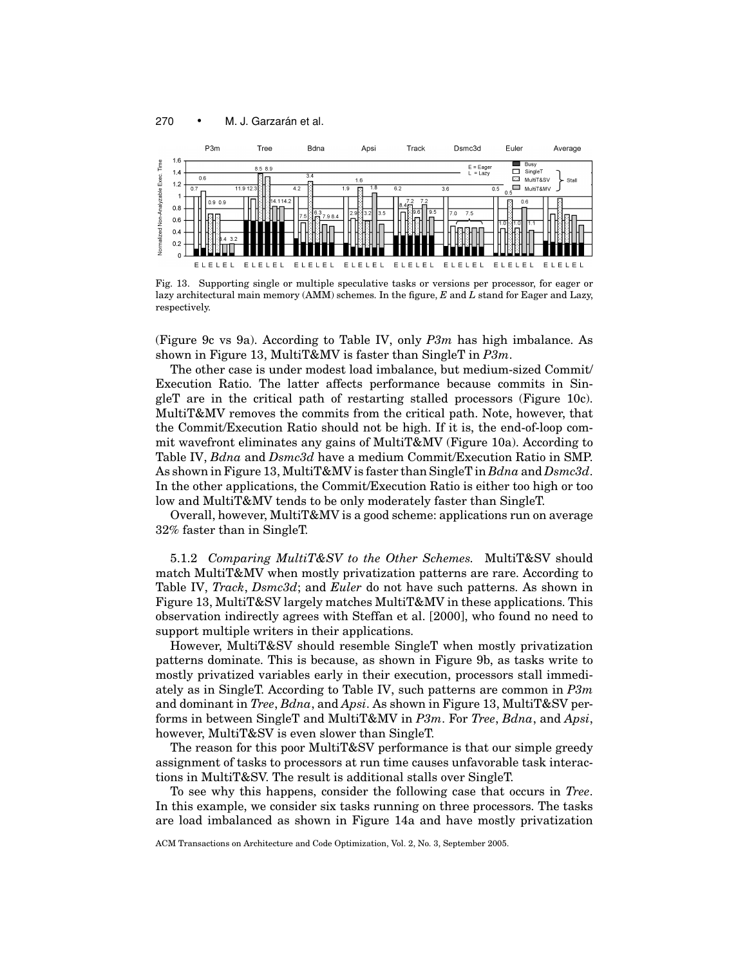

Fig. 13. Supporting single or multiple speculative tasks or versions per processor, for eager or lazy architectural main memory (AMM) schemes. In the figure, *E* and *L* stand for Eager and Lazy, respectively.

(Figure 9c vs 9a). According to Table IV, only *P3m* has high imbalance. As shown in Figure 13, MultiT&MV is faster than SingleT in *P3m*.

The other case is under modest load imbalance, but medium-sized Commit/ Execution Ratio. The latter affects performance because commits in SingleT are in the critical path of restarting stalled processors (Figure 10c). MultiT&MV removes the commits from the critical path. Note, however, that the Commit/Execution Ratio should not be high. If it is, the end-of-loop commit wavefront eliminates any gains of MultiT&MV (Figure 10a). According to Table IV, *Bdna* and *Dsmc3d* have a medium Commit/Execution Ratio in SMP. As shown in Figure 13, MultiT&MV is faster than SingleT in *Bdna* and *Dsmc3d*. In the other applications, the Commit/Execution Ratio is either too high or too low and MultiT&MV tends to be only moderately faster than SingleT.

Overall, however, MultiT&MV is a good scheme: applications run on average 32% faster than in SingleT.

5.1.2 *Comparing MultiT&SV to the Other Schemes.* MultiT&SV should match MultiT&MV when mostly privatization patterns are rare. According to Table IV, *Track*, *Dsmc3d*; and *Euler* do not have such patterns. As shown in Figure 13, MultiT&SV largely matches MultiT&MV in these applications. This observation indirectly agrees with Steffan et al. [2000], who found no need to support multiple writers in their applications.

However, MultiT&SV should resemble SingleT when mostly privatization patterns dominate. This is because, as shown in Figure 9b, as tasks write to mostly privatized variables early in their execution, processors stall immediately as in SingleT. According to Table IV, such patterns are common in *P3m* and dominant in *Tree*, *Bdna*, and *Apsi*. As shown in Figure 13, MultiT&SV performs in between SingleT and MultiT&MV in *P3m*. For *Tree*, *Bdna*, and *Apsi*, however, MultiT&SV is even slower than SingleT.

The reason for this poor MultiT&SV performance is that our simple greedy assignment of tasks to processors at run time causes unfavorable task interactions in MultiT&SV. The result is additional stalls over SingleT.

To see why this happens, consider the following case that occurs in *Tree*. In this example, we consider six tasks running on three processors. The tasks are load imbalanced as shown in Figure 14a and have mostly privatization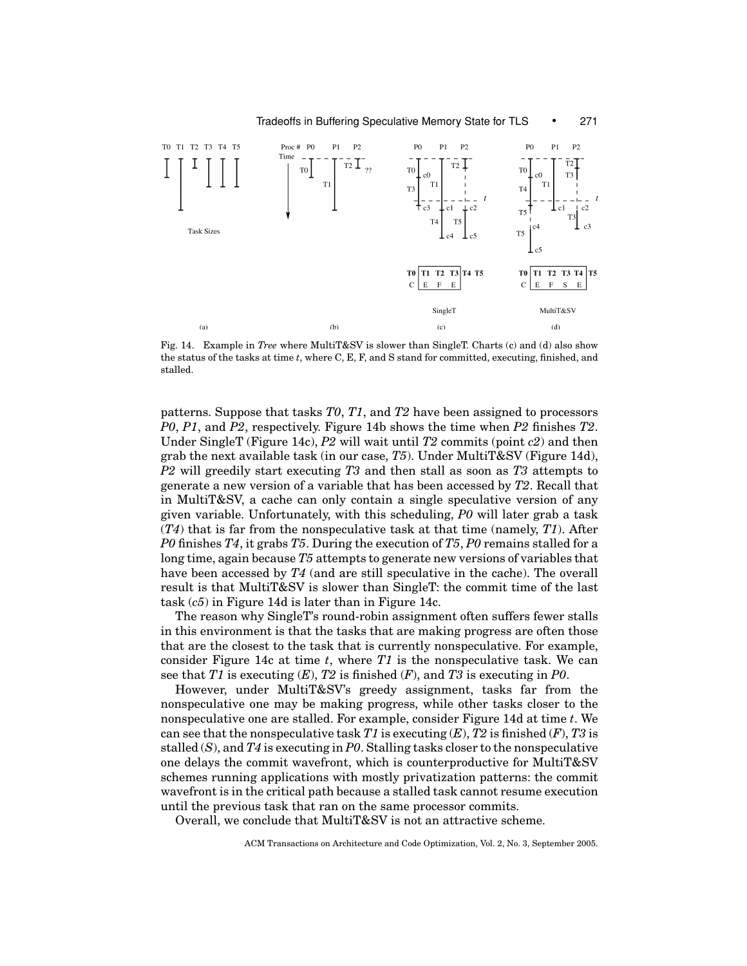

Fig. 14. Example in *Tree* where MultiT&SV is slower than SingleT. Charts (c) and (d) also show the status of the tasks at time *t*, where C, E, F, and S stand for committed, executing, finished, and stalled.

patterns. Suppose that tasks *T0*, *T1*, and *T2* have been assigned to processors *P0*, *P1*, and *P2*, respectively. Figure 14b shows the time when *P2* finishes *T2*. Under SingleT (Figure 14c), *P2* will wait until *T2* commits (point *c2*) and then grab the next available task (in our case, *T5*). Under MultiT&SV (Figure 14d), *P2* will greedily start executing *T3* and then stall as soon as *T3* attempts to generate a new version of a variable that has been accessed by *T2*. Recall that in MultiT&SV, a cache can only contain a single speculative version of any given variable. Unfortunately, with this scheduling, *P0* will later grab a task (*T4*) that is far from the nonspeculative task at that time (namely, *T1*). After *P0* finishes *T4*, it grabs *T5*. During the execution of *T5*, *P0* remains stalled for a long time, again because *T5* attempts to generate new versions of variables that have been accessed by *T4* (and are still speculative in the cache). The overall result is that MultiT&SV is slower than SingleT: the commit time of the last task (*c5*) in Figure 14d is later than in Figure 14c.

The reason why SingleT's round-robin assignment often suffers fewer stalls in this environment is that the tasks that are making progress are often those that are the closest to the task that is currently nonspeculative. For example, consider Figure 14c at time *t*, where *T1* is the nonspeculative task. We can see that *T1* is executing (*E*), *T2* is finished (*F*), and *T3* is executing in *P0*.

However, under MultiT&SV's greedy assignment, tasks far from the nonspeculative one may be making progress, while other tasks closer to the nonspeculative one are stalled. For example, consider Figure 14d at time *t*. We can see that the nonspeculative task  $T1$  is executing  $(E)$ ,  $T2$  is finished  $(F)$ ,  $T3$  is stalled (*S*), and *T4* is executing in *P0*. Stalling tasks closer to the nonspeculative one delays the commit wavefront, which is counterproductive for MultiT&SV schemes running applications with mostly privatization patterns: the commit wavefront is in the critical path because a stalled task cannot resume execution until the previous task that ran on the same processor commits.

Overall, we conclude that MultiT&SV is not an attractive scheme.

ACM Transactions on Architecture and Code Optimization, Vol. 2, No. 3, September 2005.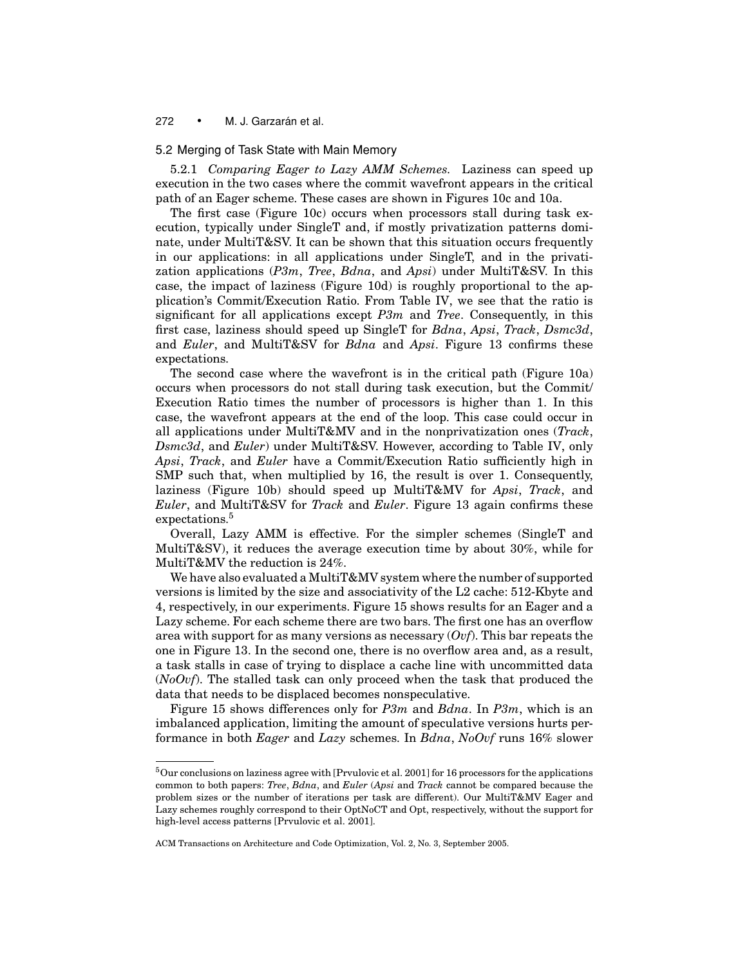#### 5.2 Merging of Task State with Main Memory

5.2.1 *Comparing Eager to Lazy AMM Schemes.* Laziness can speed up execution in the two cases where the commit wavefront appears in the critical path of an Eager scheme. These cases are shown in Figures 10c and 10a.

The first case (Figure 10c) occurs when processors stall during task execution, typically under SingleT and, if mostly privatization patterns dominate, under MultiT&SV. It can be shown that this situation occurs frequently in our applications: in all applications under SingleT, and in the privatization applications (*P3m*, *Tree*, *Bdna*, and *Apsi*) under MultiT&SV. In this case, the impact of laziness (Figure 10d) is roughly proportional to the application's Commit/Execution Ratio. From Table IV, we see that the ratio is significant for all applications except *P3m* and *Tree*. Consequently, in this first case, laziness should speed up SingleT for *Bdna*, *Apsi*, *Track*, *Dsmc3d*, and *Euler*, and MultiT&SV for *Bdna* and *Apsi*. Figure 13 confirms these expectations.

The second case where the wavefront is in the critical path (Figure 10a) occurs when processors do not stall during task execution, but the Commit/ Execution Ratio times the number of processors is higher than 1. In this case, the wavefront appears at the end of the loop. This case could occur in all applications under MultiT&MV and in the nonprivatization ones (*Track*, *Dsmc3d*, and *Euler*) under MultiT&SV. However, according to Table IV, only *Apsi*, *Track*, and *Euler* have a Commit/Execution Ratio sufficiently high in SMP such that, when multiplied by 16, the result is over 1. Consequently, laziness (Figure 10b) should speed up MultiT&MV for *Apsi*, *Track*, and *Euler*, and MultiT&SV for *Track* and *Euler*. Figure 13 again confirms these expectations.<sup>5</sup>

Overall, Lazy AMM is effective. For the simpler schemes (SingleT and MultiT&SV), it reduces the average execution time by about 30%, while for MultiT&MV the reduction is 24%.

We have also evaluated a MultiT&MV system where the number of supported versions is limited by the size and associativity of the L2 cache: 512-Kbyte and 4, respectively, in our experiments. Figure 15 shows results for an Eager and a Lazy scheme. For each scheme there are two bars. The first one has an overflow area with support for as many versions as necessary (*Ovf*). This bar repeats the one in Figure 13. In the second one, there is no overflow area and, as a result, a task stalls in case of trying to displace a cache line with uncommitted data (*NoOvf*). The stalled task can only proceed when the task that produced the data that needs to be displaced becomes nonspeculative.

Figure 15 shows differences only for *P3m* and *Bdna*. In *P3m*, which is an imbalanced application, limiting the amount of speculative versions hurts performance in both *Eager* and *Lazy* schemes. In *Bdna*, *NoOvf* runs 16% slower

<sup>5</sup>Our conclusions on laziness agree with [Prvulovic et al. 2001] for 16 processors for the applications common to both papers: *Tree*, *Bdna*, and *Euler* (*Apsi* and *Track* cannot be compared because the problem sizes or the number of iterations per task are different). Our MultiT&MV Eager and Lazy schemes roughly correspond to their OptNoCT and Opt, respectively, without the support for high-level access patterns [Prvulovic et al. 2001].

ACM Transactions on Architecture and Code Optimization, Vol. 2, No. 3, September 2005.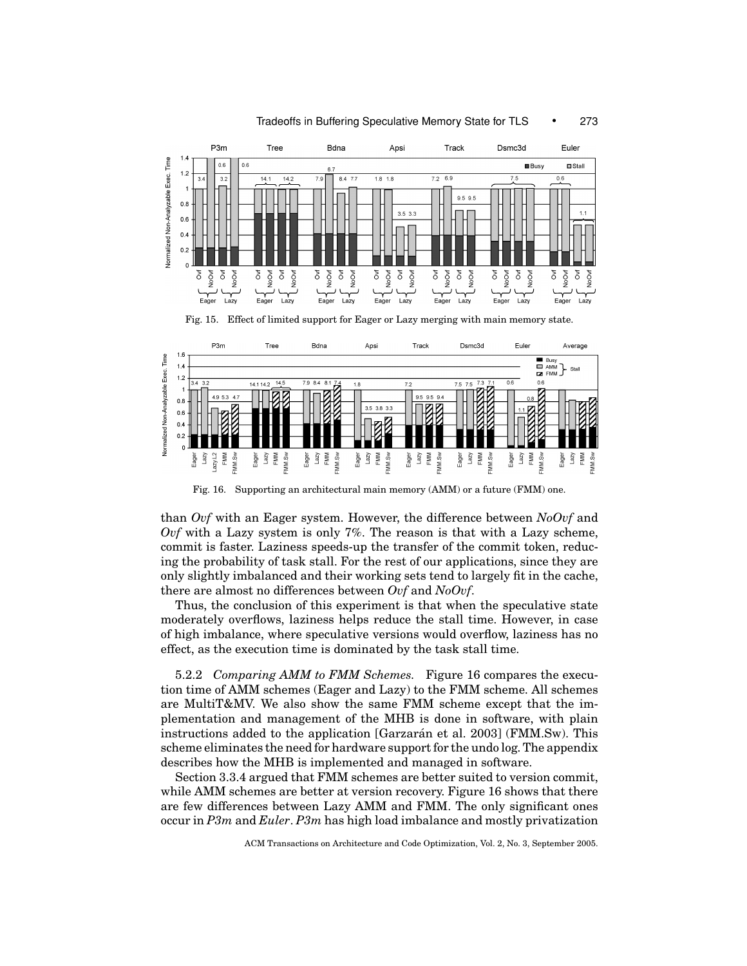

## Tradeoffs in Buffering Speculative Memory State for TLS • 273

Fig. 16. Supporting an architectural main memory (AMM) or a future (FMM) one.

than *Ovf* with an Eager system. However, the difference between *NoOvf* and *Ovf* with a Lazy system is only 7%. The reason is that with a Lazy scheme, commit is faster. Laziness speeds-up the transfer of the commit token, reducing the probability of task stall. For the rest of our applications, since they are only slightly imbalanced and their working sets tend to largely fit in the cache, there are almost no differences between *Ovf* and *NoOvf*.

Thus, the conclusion of this experiment is that when the speculative state moderately overflows, laziness helps reduce the stall time. However, in case of high imbalance, where speculative versions would overflow, laziness has no effect, as the execution time is dominated by the task stall time.

5.2.2 *Comparing AMM to FMM Schemes.* Figure 16 compares the execution time of AMM schemes (Eager and Lazy) to the FMM scheme. All schemes are MultiT&MV. We also show the same FMM scheme except that the implementation and management of the MHB is done in software, with plain instructions added to the application [Garzaran et al. 2003] (FMM.Sw). This scheme eliminates the need for hardware support for the undo log. The appendix describes how the MHB is implemented and managed in software.

Section 3.3.4 argued that FMM schemes are better suited to version commit, while AMM schemes are better at version recovery. Figure 16 shows that there are few differences between Lazy AMM and FMM. The only significant ones occur in *P3m* and *Euler*. *P3m* has high load imbalance and mostly privatization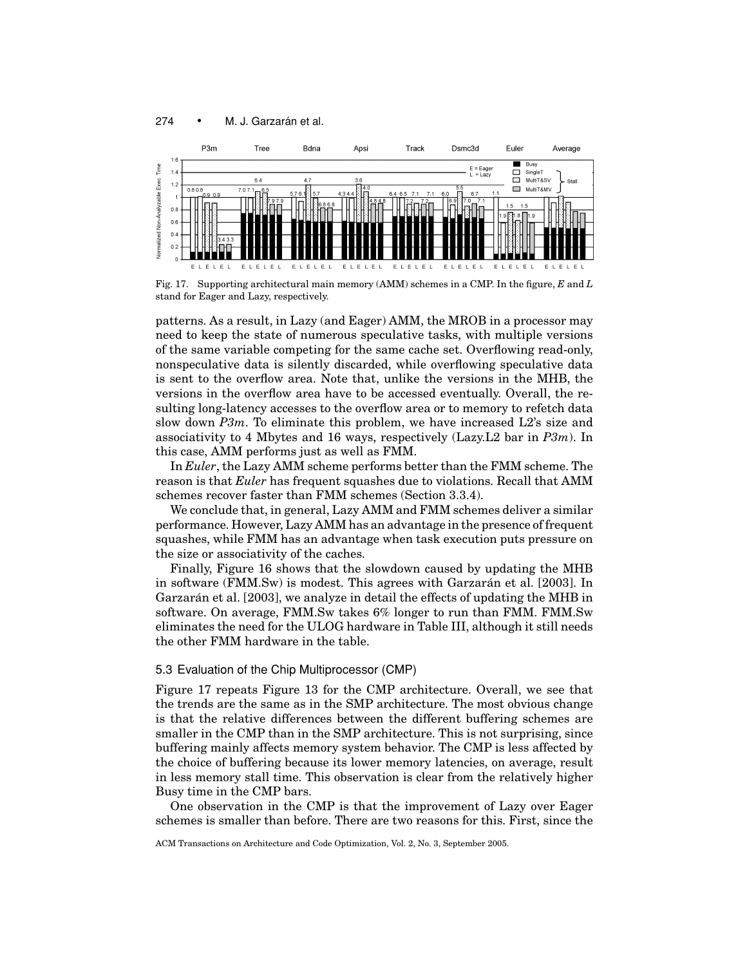

Fig. 17. Supporting architectural main memory (AMM) schemes in a CMP. In the figure, *E* and *L* stand for Eager and Lazy, respectively.

patterns. As a result, in Lazy (and Eager) AMM, the MROB in a processor may need to keep the state of numerous speculative tasks, with multiple versions of the same variable competing for the same cache set. Overflowing read-only, nonspeculative data is silently discarded, while overflowing speculative data is sent to the overflow area. Note that, unlike the versions in the MHB, the versions in the overflow area have to be accessed eventually. Overall, the resulting long-latency accesses to the overflow area or to memory to refetch data slow down *P3m*. To eliminate this problem, we have increased L2's size and associativity to 4 Mbytes and 16 ways, respectively (Lazy.L2 bar in *P3m*). In this case, AMM performs just as well as FMM.

In *Euler*, the Lazy AMM scheme performs better than the FMM scheme. The reason is that *Euler* has frequent squashes due to violations. Recall that AMM schemes recover faster than FMM schemes (Section 3.3.4).

We conclude that, in general, Lazy AMM and FMM schemes deliver a similar performance. However, Lazy AMM has an advantage in the presence of frequent squashes, while FMM has an advantage when task execution puts pressure on the size or associativity of the caches.

Finally, Figure 16 shows that the slowdown caused by updating the MHB in software (FMM.Sw) is modest. This agrees with Garzaran et al. [2003]. In Garzarán et al. [2003], we analyze in detail the effects of updating the MHB in software. On average, FMM.Sw takes 6% longer to run than FMM. FMM.Sw eliminates the need for the ULOG hardware in Table III, although it still needs the other FMM hardware in the table.

# 5.3 Evaluation of the Chip Multiprocessor (CMP)

Figure 17 repeats Figure 13 for the CMP architecture. Overall, we see that the trends are the same as in the SMP architecture. The most obvious change is that the relative differences between the different buffering schemes are smaller in the CMP than in the SMP architecture. This is not surprising, since buffering mainly affects memory system behavior. The CMP is less affected by the choice of buffering because its lower memory latencies, on average, result in less memory stall time. This observation is clear from the relatively higher Busy time in the CMP bars.

One observation in the CMP is that the improvement of Lazy over Eager schemes is smaller than before. There are two reasons for this. First, since the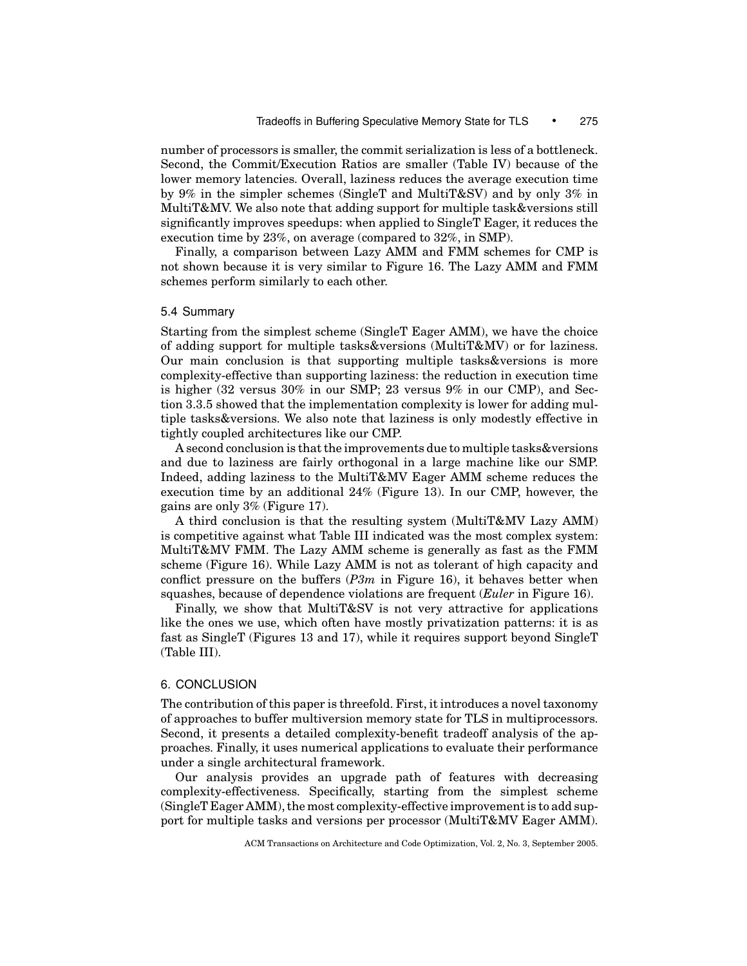number of processors is smaller, the commit serialization is less of a bottleneck. Second, the Commit/Execution Ratios are smaller (Table IV) because of the lower memory latencies. Overall, laziness reduces the average execution time by 9% in the simpler schemes (SingleT and MultiT&SV) and by only 3% in MultiT&MV. We also note that adding support for multiple task&versions still significantly improves speedups: when applied to SingleT Eager, it reduces the execution time by 23%, on average (compared to 32%, in SMP).

Finally, a comparison between Lazy AMM and FMM schemes for CMP is not shown because it is very similar to Figure 16. The Lazy AMM and FMM schemes perform similarly to each other.

## 5.4 Summary

Starting from the simplest scheme (SingleT Eager AMM), we have the choice of adding support for multiple tasks&versions (MultiT&MV) or for laziness. Our main conclusion is that supporting multiple tasks&versions is more complexity-effective than supporting laziness: the reduction in execution time is higher (32 versus 30% in our SMP; 23 versus 9% in our CMP), and Section 3.3.5 showed that the implementation complexity is lower for adding multiple tasks&versions. We also note that laziness is only modestly effective in tightly coupled architectures like our CMP.

A second conclusion is that the improvements due to multiple tasks&versions and due to laziness are fairly orthogonal in a large machine like our SMP. Indeed, adding laziness to the MultiT&MV Eager AMM scheme reduces the execution time by an additional 24% (Figure 13). In our CMP, however, the gains are only 3% (Figure 17).

A third conclusion is that the resulting system (MultiT&MV Lazy AMM) is competitive against what Table III indicated was the most complex system: MultiT&MV FMM. The Lazy AMM scheme is generally as fast as the FMM scheme (Figure 16). While Lazy AMM is not as tolerant of high capacity and conflict pressure on the buffers (*P3m* in Figure 16), it behaves better when squashes, because of dependence violations are frequent (*Euler* in Figure 16).

Finally, we show that MultiT&SV is not very attractive for applications like the ones we use, which often have mostly privatization patterns: it is as fast as SingleT (Figures 13 and 17), while it requires support beyond SingleT (Table III).

# 6. CONCLUSION

The contribution of this paper is threefold. First, it introduces a novel taxonomy of approaches to buffer multiversion memory state for TLS in multiprocessors. Second, it presents a detailed complexity-benefit tradeoff analysis of the approaches. Finally, it uses numerical applications to evaluate their performance under a single architectural framework.

Our analysis provides an upgrade path of features with decreasing complexity-effectiveness. Specifically, starting from the simplest scheme (SingleT Eager AMM), the most complexity-effective improvement is to add support for multiple tasks and versions per processor (MultiT&MV Eager AMM).

ACM Transactions on Architecture and Code Optimization, Vol. 2, No. 3, September 2005.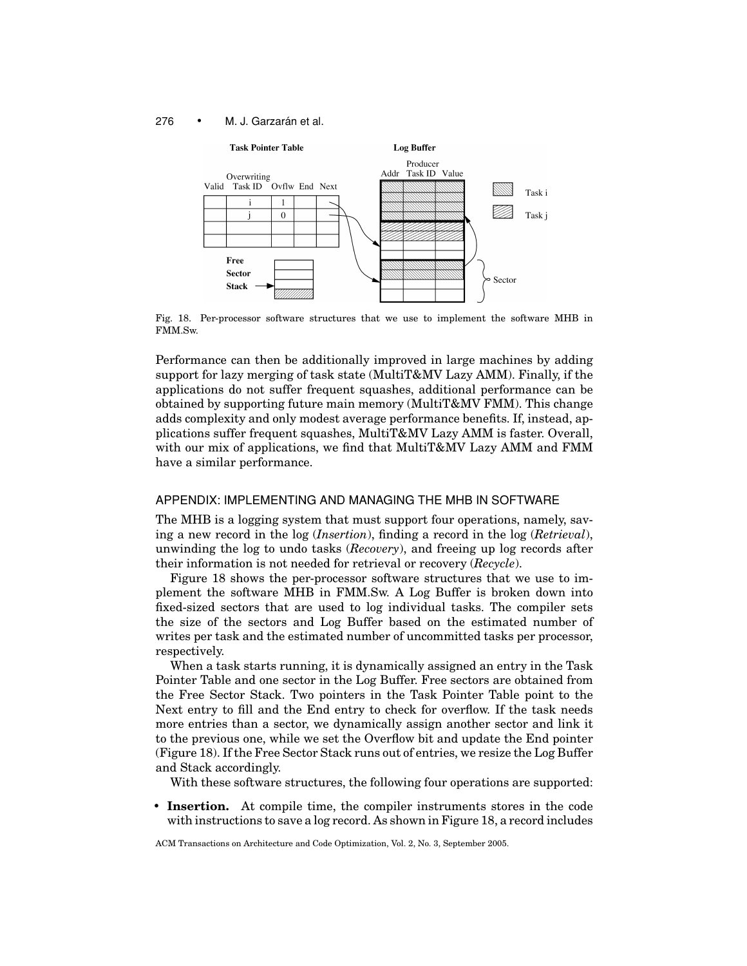

Fig. 18. Per-processor software structures that we use to implement the software MHB in FMM.Sw.

Performance can then be additionally improved in large machines by adding support for lazy merging of task state (MultiT&MV Lazy AMM). Finally, if the applications do not suffer frequent squashes, additional performance can be obtained by supporting future main memory (MultiT&MV FMM). This change adds complexity and only modest average performance benefits. If, instead, applications suffer frequent squashes, MultiT&MV Lazy AMM is faster. Overall, with our mix of applications, we find that MultiT&MV Lazy AMM and FMM have a similar performance.

#### APPENDIX: IMPLEMENTING AND MANAGING THE MHB IN SOFTWARE

The MHB is a logging system that must support four operations, namely, saving a new record in the log (*Insertion*), finding a record in the log (*Retrieval*), unwinding the log to undo tasks (*Recovery*), and freeing up log records after their information is not needed for retrieval or recovery (*Recycle*).

Figure 18 shows the per-processor software structures that we use to implement the software MHB in FMM.Sw. A Log Buffer is broken down into fixed-sized sectors that are used to log individual tasks. The compiler sets the size of the sectors and Log Buffer based on the estimated number of writes per task and the estimated number of uncommitted tasks per processor, respectively.

When a task starts running, it is dynamically assigned an entry in the Task Pointer Table and one sector in the Log Buffer. Free sectors are obtained from the Free Sector Stack. Two pointers in the Task Pointer Table point to the Next entry to fill and the End entry to check for overflow. If the task needs more entries than a sector, we dynamically assign another sector and link it to the previous one, while we set the Overflow bit and update the End pointer (Figure 18). If the Free Sector Stack runs out of entries, we resize the Log Buffer and Stack accordingly.

With these software structures, the following four operations are supported:

 **Insertion.** At compile time, the compiler instruments stores in the code with instructions to save a log record. As shown in Figure 18, a record includes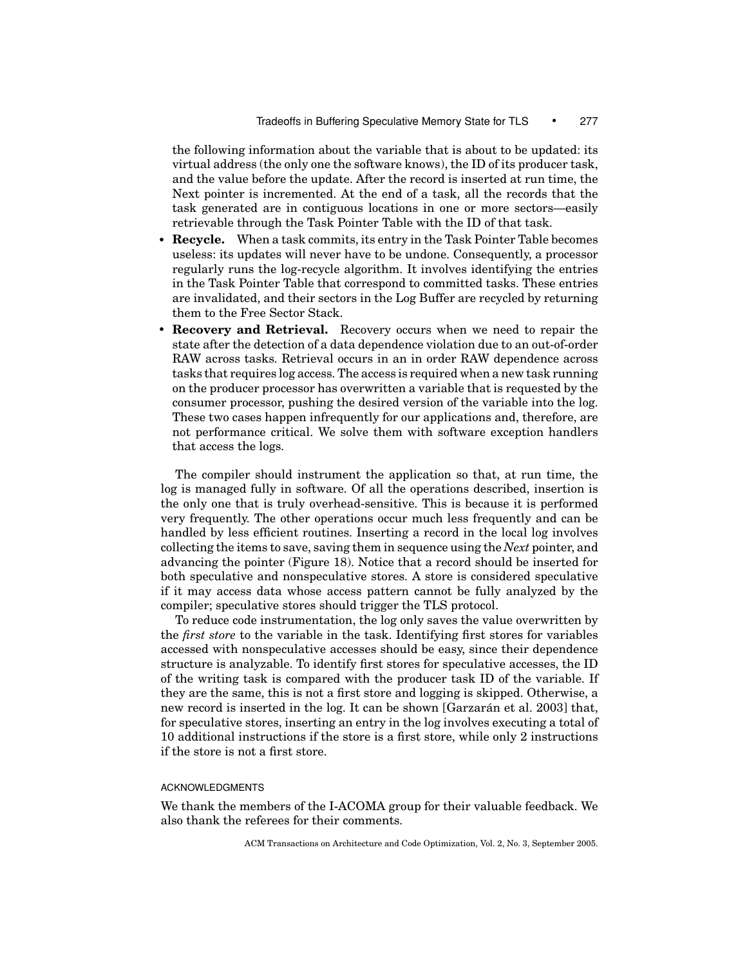the following information about the variable that is about to be updated: its virtual address (the only one the software knows), the ID of its producer task, and the value before the update. After the record is inserted at run time, the Next pointer is incremented. At the end of a task, all the records that the task generated are in contiguous locations in one or more sectors—easily retrievable through the Task Pointer Table with the ID of that task.

- **Recycle.** When a task commits, its entry in the Task Pointer Table becomes useless: its updates will never have to be undone. Consequently, a processor regularly runs the log-recycle algorithm. It involves identifying the entries in the Task Pointer Table that correspond to committed tasks. These entries are invalidated, and their sectors in the Log Buffer are recycled by returning them to the Free Sector Stack.
- **Recovery and Retrieval.** Recovery occurs when we need to repair the state after the detection of a data dependence violation due to an out-of-order RAW across tasks. Retrieval occurs in an in order RAW dependence across tasks that requires log access. The access is required when a new task running on the producer processor has overwritten a variable that is requested by the consumer processor, pushing the desired version of the variable into the log. These two cases happen infrequently for our applications and, therefore, are not performance critical. We solve them with software exception handlers that access the logs.

The compiler should instrument the application so that, at run time, the log is managed fully in software. Of all the operations described, insertion is the only one that is truly overhead-sensitive. This is because it is performed very frequently. The other operations occur much less frequently and can be handled by less efficient routines. Inserting a record in the local log involves collecting the items to save, saving them in sequence using the *Next* pointer, and advancing the pointer (Figure 18). Notice that a record should be inserted for both speculative and nonspeculative stores. A store is considered speculative if it may access data whose access pattern cannot be fully analyzed by the compiler; speculative stores should trigger the TLS protocol.

To reduce code instrumentation, the log only saves the value overwritten by the *first store* to the variable in the task. Identifying first stores for variables accessed with nonspeculative accesses should be easy, since their dependence structure is analyzable. To identify first stores for speculative accesses, the ID of the writing task is compared with the producer task ID of the variable. If they are the same, this is not a first store and logging is skipped. Otherwise, a new record is inserted in the log. It can be shown [Garzaran et al. 2003] that, for speculative stores, inserting an entry in the log involves executing a total of 10 additional instructions if the store is a first store, while only 2 instructions if the store is not a first store.

## ACKNOWLEDGMENTS

We thank the members of the I-ACOMA group for their valuable feedback. We also thank the referees for their comments.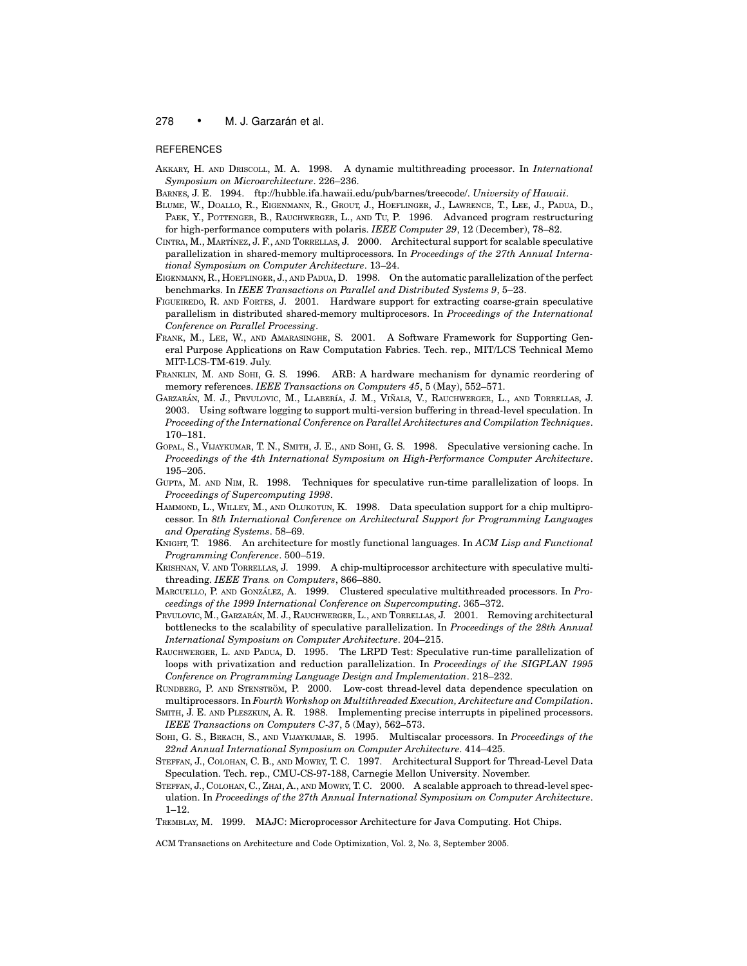## **REFERENCES**

- AKKARY, H. AND DRISCOLL, M. A. 1998. A dynamic multithreading processor. In *International Symposium on Microarchitecture*. 226–236.
- BARNES, J. E. 1994. ftp://hubble.ifa.hawaii.edu/pub/barnes/treecode/. *University of Hawaii*.
- BLUME, W., DOALLO, R., EIGENMANN, R., GROUT, J., HOEFLINGER, J., LAWRENCE, T., LEE, J., PADUA, D., PAEK, Y., POTTENGER, B., RAUCHWERGER, L., AND TU, P. 1996. Advanced program restructuring for high-performance computers with polaris. *IEEE Computer 29*, 12 (December), 78–82.
- CINTRA, M., MARTÍNEZ, J. F., AND TORRELLAS, J. 2000. Architectural support for scalable speculative parallelization in shared-memory multiprocessors. In *Proceedings of the 27th Annual International Symposium on Computer Architecture*. 13–24.
- EIGENMANN, R., HOEFLINGER, J., AND PADUA, D. 1998. On the automatic parallelization of the perfect benchmarks. In *IEEE Transactions on Parallel and Distributed Systems 9*, 5–23.
- FIGUEIREDO, R. AND FORTES, J. 2001. Hardware support for extracting coarse-grain speculative parallelism in distributed shared-memory multiprocesors. In *Proceedings of the International Conference on Parallel Processing*.
- FRANK, M., LEE, W., AND AMARASINGHE, S. 2001. A Software Framework for Supporting General Purpose Applications on Raw Computation Fabrics. Tech. rep., MIT/LCS Technical Memo MIT-LCS-TM-619. July.
- FRANKLIN, M. AND SOHI, G. S. 1996. ARB: A hardware mechanism for dynamic reordering of memory references. *IEEE Transactions on Computers 45*, 5 (May), 552–571.
- GARZARÁN, M. J., PRVULOVIC, M., LLABERÍA, J. M., VIÑALS, V., RAUCHWERGER, L., AND TORRELLAS, J. 2003. Using software logging to support multi-version buffering in thread-level speculation. In *Proceeding of the International Conference on Parallel Architectures and Compilation Techniques*. 170–181.
- GOPAL, S., VIJAYKUMAR, T. N., SMITH, J. E., AND SOHI, G. S. 1998. Speculative versioning cache. In *Proceedings of the 4th International Symposium on High-Performance Computer Architecture*. 195–205.
- GUPTA, M. AND NIM, R. 1998. Techniques for speculative run-time parallelization of loops. In *Proceedings of Supercomputing 1998*.
- HAMMOND, L., WILLEY, M., AND OLUKOTUN, K. 1998. Data speculation support for a chip multiprocessor. In *8th International Conference on Architectural Support for Programming Languages and Operating Systems*. 58–69.
- KNIGHT, T. 1986. An architecture for mostly functional languages. In *ACM Lisp and Functional Programming Conference*. 500–519.
- KRISHNAN, V. AND TORRELLAS, J. 1999. A chip-multiprocessor architecture with speculative multithreading. *IEEE Trans. on Computers*, 866–880.
- MARCUELLO, P. AND GONZÁLEZ, A. 1999. Clustered speculative multithreaded processors. In *Proceedings of the 1999 International Conference on Supercomputing*. 365–372.
- PRVULOVIC, M., GARZARÁN, M. J., RAUCHWERGER, L., AND TORRELLAS, J. 2001. Removing architectural bottlenecks to the scalability of speculative parallelization. In *Proceedings of the 28th Annual International Symposium on Computer Architecture*. 204–215.
- RAUCHWERGER, L. AND PADUA, D. 1995. The LRPD Test: Speculative run-time parallelization of loops with privatization and reduction parallelization. In *Proceedings of the SIGPLAN 1995 Conference on Programming Language Design and Implementation*. 218–232.
- RUNDBERG, P. AND STENSTRÖM, P. 2000. Low-cost thread-level data dependence speculation on multiprocessors. In *Fourth Workshop on Multithreaded Execution, Architecture and Compilation*.
- SMITH, J. E. AND PLESZKUN, A. R. 1988. Implementing precise interrupts in pipelined processors. *IEEE Transactions on Computers C-37*, 5 (May), 562–573.
- SOHI, G. S., BREACH, S., AND VIJAYKUMAR, S. 1995. Multiscalar processors. In *Proceedings of the 22nd Annual International Symposium on Computer Architecture*. 414–425.
- STEFFAN, J., COLOHAN, C. B., AND MOWRY, T. C. 1997. Architectural Support for Thread-Level Data Speculation. Tech. rep., CMU-CS-97-188, Carnegie Mellon University. November.
- STEFFAN, J., COLOHAN, C., ZHAI, A., AND MOWRY, T. C. 2000. A scalable approach to thread-level speculation. In *Proceedings of the 27th Annual International Symposium on Computer Architecture*.  $1-12.$
- TREMBLAY, M. 1999. MAJC: Microprocessor Architecture for Java Computing. Hot Chips.